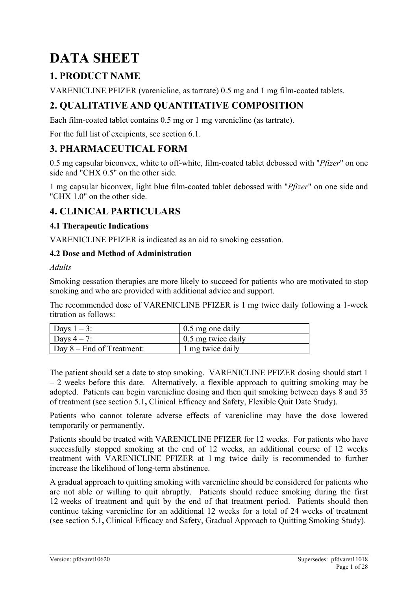# **DATA SHEET**

# **1. PRODUCT NAME**

VARENICLINE PFIZER (varenicline, as tartrate) 0.5 mg and 1 mg film-coated tablets.

# **2. QUALITATIVE AND QUANTITATIVE COMPOSITION**

Each film-coated tablet contains 0.5 mg or 1 mg varenicline (as tartrate).

For the full list of excipients, see section 6.1.

# **3. PHARMACEUTICAL FORM**

0.5 mg capsular biconvex, white to off-white, film-coated tablet debossed with "*Pfizer*" on one side and "CHX 0.5" on the other side.

1 mg capsular biconvex, light blue film-coated tablet debossed with "*Pfizer*" on one side and "CHX 1.0" on the other side.

# **4. CLINICAL PARTICULARS**

## **4.1 Therapeutic Indications**

VARENICLINE PFIZER is indicated as an aid to smoking cessation.

#### **4.2 Dose and Method of Administration**

*Adults*

Smoking cessation therapies are more likely to succeed for patients who are motivated to stop smoking and who are provided with additional advice and support.

The recommended dose of VARENICLINE PFIZER is 1 mg twice daily following a 1-week titration as follows:

| Days $1-3$ :                      | 0.5 mg one daily                 |
|-----------------------------------|----------------------------------|
| Days $4-7$ :                      | $\frac{1}{2}$ 0.5 mg twice daily |
| $\vert$ Day 8 – End of Treatment: | 1 mg twice daily                 |

The patient should set a date to stop smoking. VARENICLINE PFIZER dosing should start 1 – 2 weeks before this date. Alternatively, a flexible approach to quitting smoking may be adopted. Patients can begin varenicline dosing and then quit smoking between days 8 and 35 of treatment (see section 5.1**,** Clinical Efficacy and Safety, Flexible Quit Date Study).

Patients who cannot tolerate adverse effects of varenicline may have the dose lowered temporarily or permanently.

Patients should be treated with VARENICLINE PFIZER for 12 weeks. For patients who have successfully stopped smoking at the end of 12 weeks, an additional course of 12 weeks treatment with VARENICLINE PFIZER at 1 mg twice daily is recommended to further increase the likelihood of long-term abstinence.

A gradual approach to quitting smoking with varenicline should be considered for patients who are not able or willing to quit abruptly. Patients should reduce smoking during the first 12 weeks of treatment and quit by the end of that treatment period. Patients should then continue taking varenicline for an additional 12 weeks for a total of 24 weeks of treatment (see section 5.1**,** Clinical Efficacy and Safety, Gradual Approach to Quitting Smoking Study).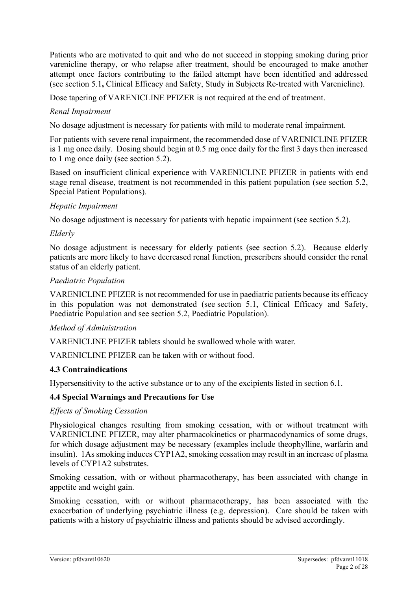Patients who are motivated to quit and who do not succeed in stopping smoking during prior varenicline therapy, or who relapse after treatment, should be encouraged to make another attempt once factors contributing to the failed attempt have been identified and addressed (see section 5.1**,** Clinical Efficacy and Safety, Study in Subjects Re-treated with Varenicline).

Dose tapering of VARENICLINE PFIZER is not required at the end of treatment.

#### *Renal Impairment*

No dosage adjustment is necessary for patients with mild to moderate renal impairment.

For patients with severe renal impairment, the recommended dose of VARENICLINE PFIZER is 1 mg once daily. Dosing should begin at 0.5 mg once daily for the first 3 days then increased to 1 mg once daily (see section 5.2).

Based on insufficient clinical experience with VARENICLINE PFIZER in patients with end stage renal disease, treatment is not recommended in this patient population (see section 5.2, Special Patient Populations).

#### *Hepatic Impairment*

No dosage adjustment is necessary for patients with hepatic impairment (see section 5.2).

#### *Elderly*

No dosage adjustment is necessary for elderly patients (see section 5.2). Because elderly patients are more likely to have decreased renal function, prescribers should consider the renal status of an elderly patient.

#### *Paediatric Population*

VARENICLINE PFIZER is not recommended for use in paediatric patients because its efficacy in this population was not demonstrated (see section 5.1, Clinical Efficacy and Safety, Paediatric Population and see section 5.2, Paediatric Population).

#### *Method of Administration*

VARENICLINE PFIZER tablets should be swallowed whole with water.

VARENICLINE PFIZER can be taken with or without food.

#### **4.3 Contraindications**

Hypersensitivity to the active substance or to any of the excipients listed in section 6.1.

#### **4.4 Special Warnings and Precautions for Use**

#### *Effects of Smoking Cessation*

Physiological changes resulting from smoking cessation, with or without treatment with VARENICLINE PFIZER, may alter pharmacokinetics or pharmacodynamics of some drugs, for which dosage adjustment may be necessary (examples include theophylline, warfarin and insulin). 1As smoking induces CYP1A2, smoking cessation may result in an increase of plasma levels of CYP1A2 substrates.

Smoking cessation, with or without pharmacotherapy, has been associated with change in appetite and weight gain.

Smoking cessation, with or without pharmacotherapy, has been associated with the exacerbation of underlying psychiatric illness (e.g. depression). Care should be taken with patients with a history of psychiatric illness and patients should be advised accordingly.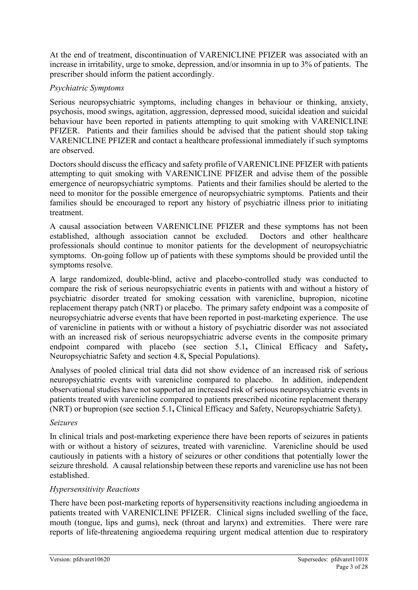At the end of treatment, discontinuation of VARENICLINE PFIZER was associated with an increase in irritability, urge to smoke, depression, and/or insomnia in up to 3% of patients. The prescriber should inform the patient accordingly.

#### *Psychiatric Symptoms*

Serious neuropsychiatric symptoms, including changes in behaviour or thinking, anxiety, psychosis, mood swings, agitation, aggression, depressed mood, suicidal ideation and suicidal behaviour have been reported in patients attempting to quit smoking with VARENICLINE PFIZER. Patients and their families should be advised that the patient should stop taking VARENICLINE PFIZER and contact a healthcare professional immediately if such symptoms are observed.

Doctors should discuss the efficacy and safety profile of VARENICLINE PFIZER with patients attempting to quit smoking with VARENICLINE PFIZER and advise them of the possible emergence of neuropsychiatric symptoms. Patients and their families should be alerted to the need to monitor for the possible emergence of neuropsychiatric symptoms. Patients and their families should be encouraged to report any history of psychiatric illness prior to initiating treatment.

A causal association between VARENICLINE PFIZER and these symptoms has not been established, although association cannot be excluded. Doctors and other healthcare professionals should continue to monitor patients for the development of neuropsychiatric symptoms. On-going follow up of patients with these symptoms should be provided until the symptoms resolve.

A large randomized, double-blind, active and placebo-controlled study was conducted to compare the risk of serious neuropsychiatric events in patients with and without a history of psychiatric disorder treated for smoking cessation with varenicline, bupropion, nicotine replacement therapy patch (NRT) or placebo. The primary safety endpoint was a composite of neuropsychiatric adverse events that have been reported in post-marketing experience. The use of varenicline in patients with or without a history of psychiatric disorder was not associated with an increased risk of serious neuropsychiatric adverse events in the composite primary endpoint compared with placebo (see section 5.1**,** Clinical Efficacy and Safety**,**  Neuropsychiatric Safety and section 4.8**,** Special Populations).

Analyses of pooled clinical trial data did not show evidence of an increased risk of serious neuropsychiatric events with varenicline compared to placebo. In addition, independent observational studies have not supported an increased risk of serious neuropsychiatric events in patients treated with varenicline compared to patients prescribed nicotine replacement therapy (NRT) or bupropion (see section 5.1**,** Clinical Efficacy and Safety, Neuropsychiatric Safety).

#### *Seizures*

In clinical trials and post-marketing experience there have been reports of seizures in patients with or without a history of seizures, treated with varenicline. Varenicline should be used cautiously in patients with a history of seizures or other conditions that potentially lower the seizure threshold. A causal relationship between these reports and varenicline use has not been established.

#### *Hypersensitivity Reactions*

There have been post-marketing reports of hypersensitivity reactions including angioedema in patients treated with VARENICLINE PFIZER. Clinical signs included swelling of the face, mouth (tongue, lips and gums), neck (throat and larynx) and extremities. There were rare reports of life-threatening angioedema requiring urgent medical attention due to respiratory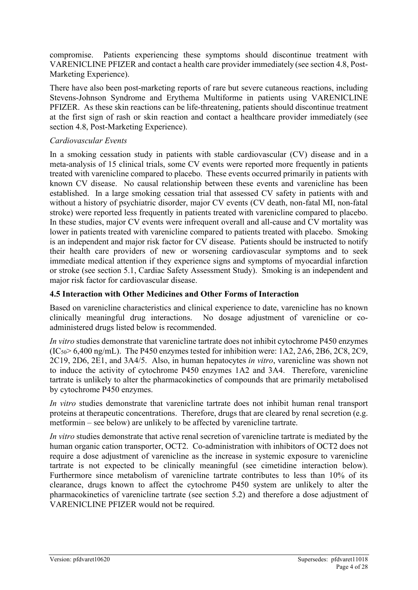compromise. Patients experiencing these symptoms should discontinue treatment with VARENICLINE PFIZER and contact a health care provider immediately (see section 4.8, Post-Marketing Experience).

There have also been post-marketing reports of rare but severe cutaneous reactions, including Stevens-Johnson Syndrome and Erythema Multiforme in patients using VARENICLINE PFIZER. As these skin reactions can be life-threatening, patients should discontinue treatment at the first sign of rash or skin reaction and contact a healthcare provider immediately (see section 4.8, Post-Marketing Experience).

#### *Cardiovascular Events*

In a smoking cessation study in patients with stable cardiovascular (CV) disease and in a meta-analysis of 15 clinical trials, some CV events were reported more frequently in patients treated with varenicline compared to placebo. These events occurred primarily in patients with known CV disease. No causal relationship between these events and varenicline has been established. In a large smoking cessation trial that assessed CV safety in patients with and without a history of psychiatric disorder, major CV events (CV death, non-fatal MI, non-fatal stroke) were reported less frequently in patients treated with varenicline compared to placebo. In these studies, major CV events were infrequent overall and all-cause and CV mortality was lower in patients treated with varenicline compared to patients treated with placebo. Smoking is an independent and major risk factor for CV disease. Patients should be instructed to notify their health care providers of new or worsening cardiovascular symptoms and to seek immediate medical attention if they experience signs and symptoms of myocardial infarction or stroke (see section 5.1, Cardiac Safety Assessment Study). Smoking is an independent and major risk factor for cardiovascular disease.

#### **4.5 Interaction with Other Medicines and Other Forms of Interaction**

Based on varenicline characteristics and clinical experience to date, varenicline has no known clinically meaningful drug interactions. No dosage adjustment of varenicline or coadministered drugs listed below is recommended.

*In vitro* studies demonstrate that varenicline tartrate does not inhibit cytochrome P450 enzymes  $(IC<sub>50</sub> > 6,400$  ng/mL). The P450 enzymes tested for inhibition were: 1A2, 2A6, 2B6, 2C8, 2C9, 2C19, 2D6, 2E1, and 3A4/5. Also, in human hepatocytes *in vitro*, varenicline was shown not to induce the activity of cytochrome P450 enzymes 1A2 and 3A4. Therefore, varenicline tartrate is unlikely to alter the pharmacokinetics of compounds that are primarily metabolised by cytochrome P450 enzymes.

*In vitro* studies demonstrate that varenicline tartrate does not inhibit human renal transport proteins at therapeutic concentrations. Therefore, drugs that are cleared by renal secretion (e.g. metformin – see below) are unlikely to be affected by varenicline tartrate.

*In vitro* studies demonstrate that active renal secretion of varenicline tartrate is mediated by the human organic cation transporter, OCT2. Co-administration with inhibitors of OCT2 does not require a dose adjustment of varenicline as the increase in systemic exposure to varenicline tartrate is not expected to be clinically meaningful (see cimetidine interaction below). Furthermore since metabolism of varenicline tartrate contributes to less than 10% of its clearance, drugs known to affect the cytochrome P450 system are unlikely to alter the pharmacokinetics of varenicline tartrate (see section 5.2) and therefore a dose adjustment of VARENICLINE PFIZER would not be required.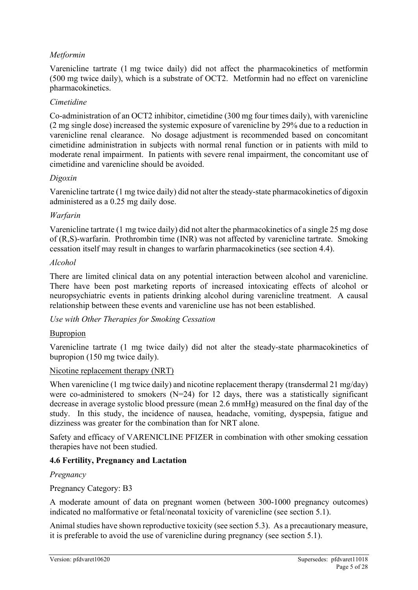#### *Metformin*

Varenicline tartrate (1 mg twice daily) did not affect the pharmacokinetics of metformin (500 mg twice daily), which is a substrate of OCT2. Metformin had no effect on varenicline pharmacokinetics.

#### *Cimetidine*

Co-administration of an OCT2 inhibitor, cimetidine (300 mg four times daily), with varenicline (2 mg single dose) increased the systemic exposure of varenicline by 29% due to a reduction in varenicline renal clearance. No dosage adjustment is recommended based on concomitant cimetidine administration in subjects with normal renal function or in patients with mild to moderate renal impairment. In patients with severe renal impairment, the concomitant use of cimetidine and varenicline should be avoided.

#### *Digoxin*

Varenicline tartrate (1 mg twice daily) did not alter the steady-state pharmacokinetics of digoxin administered as a 0.25 mg daily dose.

#### *Warfarin*

Varenicline tartrate (1 mg twice daily) did not alter the pharmacokinetics of a single 25 mg dose of (R,S)-warfarin. Prothrombin time (INR) was not affected by varenicline tartrate. Smoking cessation itself may result in changes to warfarin pharmacokinetics (see section 4.4).

#### *Alcohol*

There are limited clinical data on any potential interaction between alcohol and varenicline. There have been post marketing reports of increased intoxicating effects of alcohol or neuropsychiatric events in patients drinking alcohol during varenicline treatment. A causal relationship between these events and varenicline use has not been established.

*Use with Other Therapies for Smoking Cessation*

#### Bupropion

Varenicline tartrate (1 mg twice daily) did not alter the steady-state pharmacokinetics of bupropion (150 mg twice daily).

#### Nicotine replacement therapy (NRT)

When varenicline (1 mg twice daily) and nicotine replacement therapy (transdermal 21 mg/day) were co-administered to smokers ( $N=24$ ) for 12 days, there was a statistically significant decrease in average systolic blood pressure (mean 2.6 mmHg) measured on the final day of the study. In this study, the incidence of nausea, headache, vomiting, dyspepsia, fatigue and dizziness was greater for the combination than for NRT alone.

Safety and efficacy of VARENICLINE PFIZER in combination with other smoking cessation therapies have not been studied.

#### **4.6 Fertility, Pregnancy and Lactation**

#### *Pregnancy*

Pregnancy Category: B3

A moderate amount of data on pregnant women (between 300-1000 pregnancy outcomes) indicated no malformative or fetal/neonatal toxicity of varenicline (see section 5.1).

Animal studies have shown reproductive toxicity (see section 5.3). As a precautionary measure, it is preferable to avoid the use of varenicline during pregnancy (see section 5.1).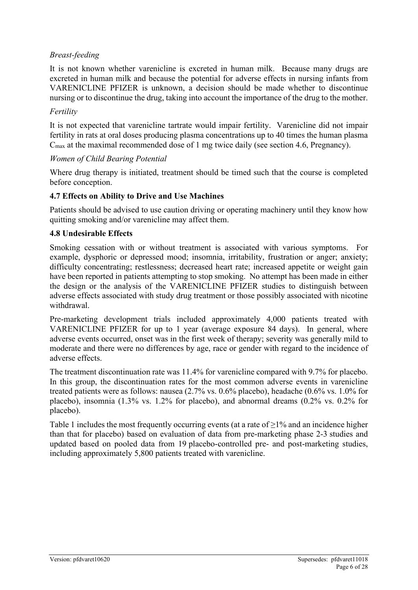#### *Breast-feeding*

It is not known whether varenicline is excreted in human milk. Because many drugs are excreted in human milk and because the potential for adverse effects in nursing infants from VARENICLINE PFIZER is unknown, a decision should be made whether to discontinue nursing or to discontinue the drug, taking into account the importance of the drug to the mother.

#### *Fertility*

It is not expected that varenicline tartrate would impair fertility. Varenicline did not impair fertility in rats at oral doses producing plasma concentrations up to 40 times the human plasma  $C<sub>max</sub>$  at the maximal recommended dose of 1 mg twice daily (see section 4.6, Pregnancy).

#### *Women of Child Bearing Potential*

Where drug therapy is initiated, treatment should be timed such that the course is completed before conception.

#### **4.7 Effects on Ability to Drive and Use Machines**

Patients should be advised to use caution driving or operating machinery until they know how quitting smoking and/or varenicline may affect them.

#### **4.8 Undesirable Effects**

Smoking cessation with or without treatment is associated with various symptoms. For example, dysphoric or depressed mood; insomnia, irritability, frustration or anger; anxiety; difficulty concentrating; restlessness; decreased heart rate; increased appetite or weight gain have been reported in patients attempting to stop smoking. No attempt has been made in either the design or the analysis of the VARENICLINE PFIZER studies to distinguish between adverse effects associated with study drug treatment or those possibly associated with nicotine withdrawal.

Pre-marketing development trials included approximately 4,000 patients treated with VARENICLINE PFIZER for up to 1 year (average exposure 84 days). In general, where adverse events occurred, onset was in the first week of therapy; severity was generally mild to moderate and there were no differences by age, race or gender with regard to the incidence of adverse effects.

The treatment discontinuation rate was 11.4% for varenicline compared with 9.7% for placebo. In this group, the discontinuation rates for the most common adverse events in varenicline treated patients were as follows: nausea (2.7% vs. 0.6% placebo), headache (0.6% vs. 1.0% for placebo), insomnia (1.3% vs. 1.2% for placebo), and abnormal dreams (0.2% vs. 0.2% for placebo).

[Table 1](#page-6-0) includes the most frequently occurring events (at a rate of  $\geq$ 1% and an incidence higher than that for placebo) based on evaluation of data from pre-marketing phase 2-3 studies and updated based on pooled data from 19 placebo-controlled pre- and post-marketing studies, including approximately 5,800 patients treated with varenicline.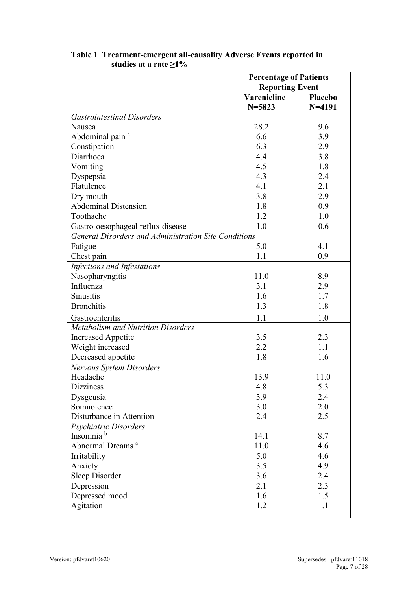| <b>Reporting Event</b><br><b>Varenicline</b><br>Placebo<br>$N = 5823$<br>$N = 4191$<br><b>Gastrointestinal Disorders</b><br>28.2<br>Nausea<br>9.6<br>6.6<br>Abdominal pain <sup>a</sup><br>3.9<br>6.3<br>Constipation<br>2.9<br>Diarrhoea<br>4.4<br>3.8<br>4.5<br>1.8<br>Vomiting<br>4.3<br>Dyspepsia<br>2.4<br>Flatulence<br>4.1<br>2.1<br>3.8<br>2.9<br>Dry mouth<br><b>Abdominal Distension</b><br>1.8<br>0.9<br>Toothache<br>1.2<br>1.0<br>1.0<br>0.6<br>Gastro-oesophageal reflux disease<br>General Disorders and Administration Site Conditions<br>5.0<br>4.1<br>Fatigue<br>1.1<br>Chest pain<br>0.9<br>Infections and Infestations<br>Nasopharyngitis<br>11.0<br>8.9<br>Influenza<br>3.1<br>2.9<br><b>Sinusitis</b><br>1.7<br>1.6<br><b>Bronchitis</b><br>1.3<br>1.8<br>1.1<br>1.0<br>Gastroenteritis<br>Metabolism and Nutrition Disorders<br>3.5<br><b>Increased Appetite</b><br>2.3<br>1.1<br>2.2<br>Weight increased<br>Decreased appetite<br>1.8<br>1.6<br>Nervous System Disorders<br>Headache<br>13.9<br>11.0<br><b>Dizziness</b><br>4.8<br>5.3<br>3.9<br>Dysgeusia<br>2.4<br>Somnolence<br>2.0<br>3.0<br>Disturbance in Attention<br>2.5<br>2.4 |                       | <b>Percentage of Patients</b> |  |  |
|-----------------------------------------------------------------------------------------------------------------------------------------------------------------------------------------------------------------------------------------------------------------------------------------------------------------------------------------------------------------------------------------------------------------------------------------------------------------------------------------------------------------------------------------------------------------------------------------------------------------------------------------------------------------------------------------------------------------------------------------------------------------------------------------------------------------------------------------------------------------------------------------------------------------------------------------------------------------------------------------------------------------------------------------------------------------------------------------------------------------------------------------------------------------|-----------------------|-------------------------------|--|--|
|                                                                                                                                                                                                                                                                                                                                                                                                                                                                                                                                                                                                                                                                                                                                                                                                                                                                                                                                                                                                                                                                                                                                                                 |                       |                               |  |  |
|                                                                                                                                                                                                                                                                                                                                                                                                                                                                                                                                                                                                                                                                                                                                                                                                                                                                                                                                                                                                                                                                                                                                                                 |                       |                               |  |  |
|                                                                                                                                                                                                                                                                                                                                                                                                                                                                                                                                                                                                                                                                                                                                                                                                                                                                                                                                                                                                                                                                                                                                                                 |                       |                               |  |  |
|                                                                                                                                                                                                                                                                                                                                                                                                                                                                                                                                                                                                                                                                                                                                                                                                                                                                                                                                                                                                                                                                                                                                                                 |                       |                               |  |  |
|                                                                                                                                                                                                                                                                                                                                                                                                                                                                                                                                                                                                                                                                                                                                                                                                                                                                                                                                                                                                                                                                                                                                                                 |                       |                               |  |  |
|                                                                                                                                                                                                                                                                                                                                                                                                                                                                                                                                                                                                                                                                                                                                                                                                                                                                                                                                                                                                                                                                                                                                                                 |                       |                               |  |  |
|                                                                                                                                                                                                                                                                                                                                                                                                                                                                                                                                                                                                                                                                                                                                                                                                                                                                                                                                                                                                                                                                                                                                                                 |                       |                               |  |  |
|                                                                                                                                                                                                                                                                                                                                                                                                                                                                                                                                                                                                                                                                                                                                                                                                                                                                                                                                                                                                                                                                                                                                                                 |                       |                               |  |  |
|                                                                                                                                                                                                                                                                                                                                                                                                                                                                                                                                                                                                                                                                                                                                                                                                                                                                                                                                                                                                                                                                                                                                                                 |                       |                               |  |  |
|                                                                                                                                                                                                                                                                                                                                                                                                                                                                                                                                                                                                                                                                                                                                                                                                                                                                                                                                                                                                                                                                                                                                                                 |                       |                               |  |  |
|                                                                                                                                                                                                                                                                                                                                                                                                                                                                                                                                                                                                                                                                                                                                                                                                                                                                                                                                                                                                                                                                                                                                                                 |                       |                               |  |  |
|                                                                                                                                                                                                                                                                                                                                                                                                                                                                                                                                                                                                                                                                                                                                                                                                                                                                                                                                                                                                                                                                                                                                                                 |                       |                               |  |  |
|                                                                                                                                                                                                                                                                                                                                                                                                                                                                                                                                                                                                                                                                                                                                                                                                                                                                                                                                                                                                                                                                                                                                                                 |                       |                               |  |  |
|                                                                                                                                                                                                                                                                                                                                                                                                                                                                                                                                                                                                                                                                                                                                                                                                                                                                                                                                                                                                                                                                                                                                                                 |                       |                               |  |  |
|                                                                                                                                                                                                                                                                                                                                                                                                                                                                                                                                                                                                                                                                                                                                                                                                                                                                                                                                                                                                                                                                                                                                                                 |                       |                               |  |  |
|                                                                                                                                                                                                                                                                                                                                                                                                                                                                                                                                                                                                                                                                                                                                                                                                                                                                                                                                                                                                                                                                                                                                                                 |                       |                               |  |  |
|                                                                                                                                                                                                                                                                                                                                                                                                                                                                                                                                                                                                                                                                                                                                                                                                                                                                                                                                                                                                                                                                                                                                                                 |                       |                               |  |  |
|                                                                                                                                                                                                                                                                                                                                                                                                                                                                                                                                                                                                                                                                                                                                                                                                                                                                                                                                                                                                                                                                                                                                                                 |                       |                               |  |  |
|                                                                                                                                                                                                                                                                                                                                                                                                                                                                                                                                                                                                                                                                                                                                                                                                                                                                                                                                                                                                                                                                                                                                                                 |                       |                               |  |  |
|                                                                                                                                                                                                                                                                                                                                                                                                                                                                                                                                                                                                                                                                                                                                                                                                                                                                                                                                                                                                                                                                                                                                                                 |                       |                               |  |  |
|                                                                                                                                                                                                                                                                                                                                                                                                                                                                                                                                                                                                                                                                                                                                                                                                                                                                                                                                                                                                                                                                                                                                                                 |                       |                               |  |  |
|                                                                                                                                                                                                                                                                                                                                                                                                                                                                                                                                                                                                                                                                                                                                                                                                                                                                                                                                                                                                                                                                                                                                                                 |                       |                               |  |  |
|                                                                                                                                                                                                                                                                                                                                                                                                                                                                                                                                                                                                                                                                                                                                                                                                                                                                                                                                                                                                                                                                                                                                                                 |                       |                               |  |  |
|                                                                                                                                                                                                                                                                                                                                                                                                                                                                                                                                                                                                                                                                                                                                                                                                                                                                                                                                                                                                                                                                                                                                                                 |                       |                               |  |  |
|                                                                                                                                                                                                                                                                                                                                                                                                                                                                                                                                                                                                                                                                                                                                                                                                                                                                                                                                                                                                                                                                                                                                                                 |                       |                               |  |  |
|                                                                                                                                                                                                                                                                                                                                                                                                                                                                                                                                                                                                                                                                                                                                                                                                                                                                                                                                                                                                                                                                                                                                                                 |                       |                               |  |  |
|                                                                                                                                                                                                                                                                                                                                                                                                                                                                                                                                                                                                                                                                                                                                                                                                                                                                                                                                                                                                                                                                                                                                                                 |                       |                               |  |  |
|                                                                                                                                                                                                                                                                                                                                                                                                                                                                                                                                                                                                                                                                                                                                                                                                                                                                                                                                                                                                                                                                                                                                                                 |                       |                               |  |  |
|                                                                                                                                                                                                                                                                                                                                                                                                                                                                                                                                                                                                                                                                                                                                                                                                                                                                                                                                                                                                                                                                                                                                                                 |                       |                               |  |  |
|                                                                                                                                                                                                                                                                                                                                                                                                                                                                                                                                                                                                                                                                                                                                                                                                                                                                                                                                                                                                                                                                                                                                                                 |                       |                               |  |  |
|                                                                                                                                                                                                                                                                                                                                                                                                                                                                                                                                                                                                                                                                                                                                                                                                                                                                                                                                                                                                                                                                                                                                                                 |                       |                               |  |  |
|                                                                                                                                                                                                                                                                                                                                                                                                                                                                                                                                                                                                                                                                                                                                                                                                                                                                                                                                                                                                                                                                                                                                                                 |                       |                               |  |  |
|                                                                                                                                                                                                                                                                                                                                                                                                                                                                                                                                                                                                                                                                                                                                                                                                                                                                                                                                                                                                                                                                                                                                                                 |                       |                               |  |  |
|                                                                                                                                                                                                                                                                                                                                                                                                                                                                                                                                                                                                                                                                                                                                                                                                                                                                                                                                                                                                                                                                                                                                                                 |                       |                               |  |  |
|                                                                                                                                                                                                                                                                                                                                                                                                                                                                                                                                                                                                                                                                                                                                                                                                                                                                                                                                                                                                                                                                                                                                                                 | Psychiatric Disorders |                               |  |  |
| Insomnia <sup>b</sup><br>14.1<br>8.7                                                                                                                                                                                                                                                                                                                                                                                                                                                                                                                                                                                                                                                                                                                                                                                                                                                                                                                                                                                                                                                                                                                            |                       |                               |  |  |
| Abnormal Dreams <sup>c</sup><br>11.0<br>4.6                                                                                                                                                                                                                                                                                                                                                                                                                                                                                                                                                                                                                                                                                                                                                                                                                                                                                                                                                                                                                                                                                                                     |                       |                               |  |  |
| Irritability<br>4.6<br>5.0                                                                                                                                                                                                                                                                                                                                                                                                                                                                                                                                                                                                                                                                                                                                                                                                                                                                                                                                                                                                                                                                                                                                      |                       |                               |  |  |
| 4.9<br>Anxiety<br>3.5                                                                                                                                                                                                                                                                                                                                                                                                                                                                                                                                                                                                                                                                                                                                                                                                                                                                                                                                                                                                                                                                                                                                           |                       |                               |  |  |
| Sleep Disorder<br>3.6<br>2.4                                                                                                                                                                                                                                                                                                                                                                                                                                                                                                                                                                                                                                                                                                                                                                                                                                                                                                                                                                                                                                                                                                                                    |                       |                               |  |  |
| 2.3<br>2.1<br>Depression                                                                                                                                                                                                                                                                                                                                                                                                                                                                                                                                                                                                                                                                                                                                                                                                                                                                                                                                                                                                                                                                                                                                        |                       |                               |  |  |
| Depressed mood<br>1.5<br>1.6                                                                                                                                                                                                                                                                                                                                                                                                                                                                                                                                                                                                                                                                                                                                                                                                                                                                                                                                                                                                                                                                                                                                    |                       |                               |  |  |
| Agitation<br>1.2<br>1.1                                                                                                                                                                                                                                                                                                                                                                                                                                                                                                                                                                                                                                                                                                                                                                                                                                                                                                                                                                                                                                                                                                                                         |                       |                               |  |  |

#### <span id="page-6-0"></span>**Table 1 Treatment-emergent all-causality Adverse Events reported in studies at a rate ≥1%**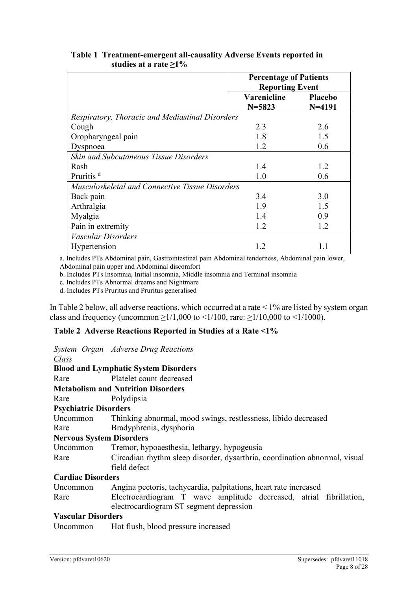|                                                 | <b>Percentage of Patients</b> |                |  |
|-------------------------------------------------|-------------------------------|----------------|--|
|                                                 | <b>Reporting Event</b>        |                |  |
|                                                 | Varenicline                   | <b>Placebo</b> |  |
|                                                 | $N = 5823$                    | $N = 4191$     |  |
| Respiratory, Thoracic and Mediastinal Disorders |                               |                |  |
| Cough                                           | 2.3                           | 2.6            |  |
| Oropharyngeal pain                              | 1.8                           | 1.5            |  |
| Dyspnoea                                        | 1.2                           | 0.6            |  |
| <b>Skin and Subcutaneous Tissue Disorders</b>   |                               |                |  |
| Rash                                            | 1.4                           | 1.2            |  |
| Pruritis <sup>d</sup>                           | 1.0                           | 0.6            |  |
| Musculoskeletal and Connective Tissue Disorders |                               |                |  |
| Back pain                                       | 3.4                           | 3.0            |  |
| Arthralgia                                      | 1.9                           | 1.5            |  |
| Myalgia                                         | 1.4                           | 0.9            |  |
| Pain in extremity                               | 1.2                           | 1.2            |  |
| Vascular Disorders                              |                               |                |  |
| Hypertension                                    | 1.2                           | 1.1            |  |

#### **Table 1 Treatment-emergent all-causality Adverse Events reported in studies at a rate ≥1%**

a. Includes PTs Abdominal pain, Gastrointestinal pain Abdominal tenderness, Abdominal pain lower, Abdominal pain upper and Abdominal discomfort

b. Includes PTs Insomnia, Initial insomnia, Middle insomnia and Terminal insomnia

c. Includes PTs Abnormal dreams and Nightmare

d. Includes PTs Pruritus and Pruritus generalised

In [Table 2](#page-7-0) below, all adverse reactions, which occurred at a rate < 1% are listed by system organ class and frequency (uncommon  $\geq 1/1,000$  to  $\leq 1/100$ , rare:  $\geq 1/10,000$  to  $\leq 1/1000$ ).

#### <span id="page-7-0"></span>**Table 2 Adverse Reactions Reported in Studies at a Rate <1%**

|  | <b>System Organ Adverse Drug Reactions</b> |
|--|--------------------------------------------|
|  |                                            |

| Class                           |                                                                            |
|---------------------------------|----------------------------------------------------------------------------|
|                                 | <b>Blood and Lymphatic System Disorders</b>                                |
| Rare                            | Platelet count decreased                                                   |
|                                 | <b>Metabolism and Nutrition Disorders</b>                                  |
| Rare                            | Polydipsia                                                                 |
| <b>Psychiatric Disorders</b>    |                                                                            |
| Uncommon                        | Thinking abnormal, mood swings, restlessness, libido decreased             |
| Rare                            | Bradyphrenia, dysphoria                                                    |
| <b>Nervous System Disorders</b> |                                                                            |
| Uncommon                        | Tremor, hypoaesthesia, lethargy, hypogeusia                                |
| Rare                            | Circadian rhythm sleep disorder, dysarthria, coordination abnormal, visual |
|                                 | field defect                                                               |
| <b>Cardiac Disorders</b>        |                                                                            |
| Uncommon                        | Angina pectoris, tachycardia, palpitations, heart rate increased           |
| Rare                            | Electrocardiogram T wave amplitude decreased, atrial fibrillation,         |
|                                 | electrocardiogram ST segment depression                                    |
| <b>Vascular Disorders</b>       |                                                                            |

Uncommon Hot flush, blood pressure increased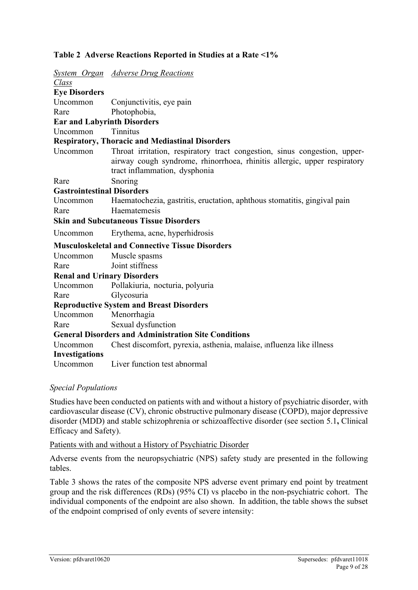#### **Table 2 Adverse Reactions Reported in Studies at a Rate <1%**

|                                    | <b>System Organ Adverse Drug Reactions</b>                                                                                                                                             |
|------------------------------------|----------------------------------------------------------------------------------------------------------------------------------------------------------------------------------------|
| Class                              |                                                                                                                                                                                        |
| <b>Eye Disorders</b>               |                                                                                                                                                                                        |
| Uncommon                           | Conjunctivitis, eye pain                                                                                                                                                               |
| Rare                               | Photophobia,                                                                                                                                                                           |
| <b>Ear and Labyrinth Disorders</b> |                                                                                                                                                                                        |
| Uncommon                           | <b>Tinnitus</b>                                                                                                                                                                        |
|                                    | <b>Respiratory, Thoracic and Mediastinal Disorders</b>                                                                                                                                 |
| Uncommon                           | Throat irritation, respiratory tract congestion, sinus congestion, upper-<br>airway cough syndrome, rhinorrhoea, rhinitis allergic, upper respiratory<br>tract inflammation, dysphonia |
| Rare                               | Snoring                                                                                                                                                                                |
| <b>Gastrointestinal Disorders</b>  |                                                                                                                                                                                        |
| Uncommon                           | Haematochezia, gastritis, eructation, aphthous stomatitis, gingival pain                                                                                                               |
| Rare                               | Haematemesis                                                                                                                                                                           |
|                                    | <b>Skin and Subcutaneous Tissue Disorders</b>                                                                                                                                          |
| Uncommon                           | Erythema, acne, hyperhidrosis                                                                                                                                                          |
|                                    |                                                                                                                                                                                        |
|                                    | <b>Musculoskeletal and Connective Tissue Disorders</b>                                                                                                                                 |
| Uncommon                           | Muscle spasms                                                                                                                                                                          |
| Rare                               | Joint stiffness                                                                                                                                                                        |
| <b>Renal and Urinary Disorders</b> |                                                                                                                                                                                        |
| Uncommon                           | Pollakiuria, nocturia, polyuria                                                                                                                                                        |
| Rare                               | Glycosuria                                                                                                                                                                             |
|                                    | <b>Reproductive System and Breast Disorders</b>                                                                                                                                        |
| Uncommon                           | Menorrhagia                                                                                                                                                                            |
| Rare                               | Sexual dysfunction                                                                                                                                                                     |
|                                    | <b>General Disorders and Administration Site Conditions</b>                                                                                                                            |
| Uncommon                           | Chest discomfort, pyrexia, asthenia, malaise, influenza like illness                                                                                                                   |
| Investigations                     |                                                                                                                                                                                        |

#### *Special Populations*

Studies have been conducted on patients with and without a history of psychiatric disorder, with cardiovascular disease (CV), chronic obstructive pulmonary disease (COPD), major depressive disorder (MDD) and stable schizophrenia or schizoaffective disorder (see section 5.1**,** Clinical Efficacy and Safety).

Patients with and without a History of Psychiatric Disorder

Adverse events from the neuropsychiatric (NPS) safety study are presented in the following tables.

[Table 3](#page-9-0) shows the rates of the composite NPS adverse event primary end point by treatment group and the risk differences (RDs) (95% CI) vs placebo in the non-psychiatric cohort. The individual components of the endpoint are also shown. In addition, the table shows the subset of the endpoint comprised of only events of severe intensity: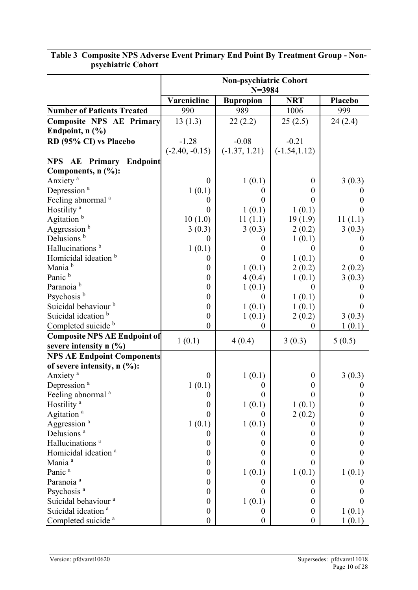|                                     | <b>Non-psychiatric Cohort</b><br>$N = 3984$ |                  |                  |                  |
|-------------------------------------|---------------------------------------------|------------------|------------------|------------------|
|                                     | Varenicline                                 | <b>Bupropion</b> | <b>NRT</b>       | Placebo          |
| <b>Number of Patients Treated</b>   | 990                                         | 989              | 1006             | 999              |
| <b>Composite NPS AE Primary</b>     | 13(1.3)                                     | 22(2.2)          | 25(2.5)          | 24(2.4)          |
| Endpoint, $n$ $(\%)$                |                                             |                  |                  |                  |
| RD (95% CI) vs Placebo              | $-1.28$                                     | $-0.08$          | $-0.21$          |                  |
|                                     | $(-2.40, -0.15)$                            | $(-1.37, 1.21)$  | $(-1.54, 1.12)$  |                  |
| Endpoint<br><b>NPS AE Primary</b>   |                                             |                  |                  |                  |
| Components, n (%):                  |                                             |                  |                  |                  |
| Anxiety <sup>a</sup>                | $\overline{0}$                              | 1(0.1)           | $\theta$         | 3(0.3)           |
| Depression <sup>a</sup>             | 1(0.1)                                      | $\boldsymbol{0}$ | $\boldsymbol{0}$ | O                |
| Feeling abnormal <sup>a</sup>       | $\theta$                                    | $\theta$         | $\theta$         | 0                |
| Hostility <sup>a</sup>              | $\theta$                                    | 1(0.1)           | 1(0.1)           | $\mathbf{0}$     |
| Agitation <sup>b</sup>              | 10(1.0)                                     | 11(1.1)          | 19(1.9)          | 11(1.1)          |
| Aggression <sup>b</sup>             | 3(0.3)                                      | 3(0.3)           | 2(0.2)           | 3(0.3)           |
| Delusions <sup>b</sup>              | $\theta$                                    | $\theta$         | 1(0.1)           | 0                |
| Hallucinations <sup>b</sup>         | 1(0.1)                                      | $\boldsymbol{0}$ | $\Omega$         | 0                |
| Homicidal ideation <sup>b</sup>     | $\theta$                                    | $\theta$         | 1(0.1)           | 0                |
| Mania <sup>b</sup>                  | $\theta$                                    | 1(0.1)           | 2(0.2)           | 2(0.2)           |
| Panic <sup>b</sup>                  | $\boldsymbol{0}$                            | 4(0.4)           | 1(0.1)           | 3(0.3)           |
| Paranoia <sup>b</sup>               | $\boldsymbol{0}$                            | 1(0.1)           | $\Omega$         |                  |
| Psychosis <sup>b</sup>              | $\theta$                                    | $\theta$         | 1(0.1)           | 0                |
| Suicidal behaviour <sup>b</sup>     | $\boldsymbol{0}$                            | 1(0.1)           | 1(0.1)           | 0                |
| Suicidal ideation <sup>b</sup>      | $\boldsymbol{0}$                            | 1(0.1)           | 2(0.2)           | 3(0.3)           |
| Completed suicide b                 | $\overline{0}$                              | $\boldsymbol{0}$ | $\bf{0}$         | 1(0.1)           |
| <b>Composite NPS AE Endpoint of</b> | 1(0.1)                                      | 4(0.4)           | 3(0.3)           | 5(0.5)           |
| severe intensity $n$ $(\%)$         |                                             |                  |                  |                  |
| <b>NPS AE Endpoint Components</b>   |                                             |                  |                  |                  |
| of severe intensity, $n$ (%):       |                                             |                  |                  |                  |
| Anxiety <sup>a</sup>                | $\boldsymbol{0}$                            | 1(0.1)           | $\boldsymbol{0}$ | 3(0.3)           |
| Depression <sup>a</sup>             | 1(0.1)                                      | $\boldsymbol{0}$ | $\mathbf{0}$     | 0                |
| Feeling abnormal <sup>a</sup>       | $\boldsymbol{0}$                            | $\theta$         | $\boldsymbol{0}$ | $\boldsymbol{0}$ |
| Hostility <sup>a</sup>              | $\boldsymbol{0}$                            | 1(0.1)           | 1(0.1)           | 0                |
| Agitation <sup>a</sup>              | $\overline{0}$                              | $\boldsymbol{0}$ | 2(0.2)           | 0                |
| Aggression <sup>a</sup>             | 1(0.1)                                      | 1(0.1)           | $\theta$         | $\theta$         |
| Delusions <sup>a</sup>              | $\theta$                                    | $\theta$         | $\theta$         | 0                |
| Hallucinations <sup>a</sup>         | $\boldsymbol{0}$                            | $\boldsymbol{0}$ | $\boldsymbol{0}$ | 0                |
| Homicidal ideation <sup>a</sup>     | $\boldsymbol{0}$                            | $\boldsymbol{0}$ | $\theta$         | 0                |
| Mania <sup>a</sup>                  | $\boldsymbol{0}$                            | 0                | $\Omega$         |                  |
| Panic <sup>a</sup>                  | $\boldsymbol{0}$                            | 1(0.1)           | 1(0.1)           | 1(0.1)           |
| Paranoia <sup>a</sup>               | $\boldsymbol{0}$                            | $\theta$         | $\boldsymbol{0}$ | 0                |
| Psychosis <sup>a</sup>              | $\boldsymbol{0}$                            | $\theta$         | $\boldsymbol{0}$ | 0                |
| Suicidal behaviour <sup>a</sup>     | $\boldsymbol{0}$                            | 1(0.1)           | $\boldsymbol{0}$ | 0                |
| Suicidal ideation <sup>a</sup>      | $\boldsymbol{0}$                            | $\boldsymbol{0}$ | $\boldsymbol{0}$ | 1(0.1)           |
| Completed suicide <sup>a</sup>      | $\boldsymbol{0}$                            | $\boldsymbol{0}$ | $\boldsymbol{0}$ | 1(0.1)           |

## <span id="page-9-0"></span>**Table 3 Composite NPS Adverse Event Primary End Point By Treatment Group - Nonpsychiatric Cohort**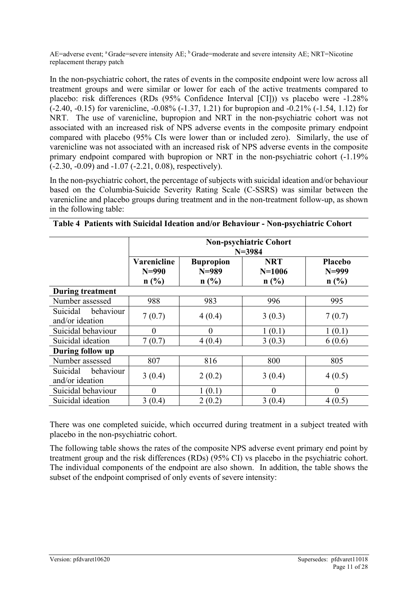AE=adverse event; <sup>a</sup> Grade=severe intensity AE; <sup>b</sup> Grade=moderate and severe intensity AE; NRT=Nicotine replacement therapy patch

In the non-psychiatric cohort, the rates of events in the composite endpoint were low across all treatment groups and were similar or lower for each of the active treatments compared to placebo: risk differences (RDs (95% Confidence Interval [CI])) vs placebo were -1.28% (-2.40, -0.15) for varenicline, -0.08% (-1.37, 1.21) for bupropion and -0.21% (-1.54, 1.12) for NRT. The use of varenicline, bupropion and NRT in the non-psychiatric cohort was not associated with an increased risk of NPS adverse events in the composite primary endpoint compared with placebo (95% CIs were lower than or included zero). Similarly, the use of varenicline was not associated with an increased risk of NPS adverse events in the composite primary endpoint compared with bupropion or NRT in the non-psychiatric cohort (-1.19% (-2.30, -0.09) and -1.07 (-2.21, 0.08), respectively).

In the non-psychiatric cohort, the percentage of subjects with suicidal ideation and/or behaviour based on the Columbia-Suicide Severity Rating Scale (C-SSRS) was similar between the varenicline and placebo groups during treatment and in the non-treatment follow-up, as shown in the following table:

|                                          | <b>Non-psychiatric Cohort</b><br>$N = 3984$ |                                       |                                  |                                   |
|------------------------------------------|---------------------------------------------|---------------------------------------|----------------------------------|-----------------------------------|
|                                          | <b>Varenicline</b><br>$N=990$<br>n(%)       | <b>Bupropion</b><br>$N = 989$<br>n(%) | <b>NRT</b><br>$N = 1006$<br>n(%) | <b>Placebo</b><br>$N=999$<br>n(%) |
| <b>During treatment</b>                  |                                             |                                       |                                  |                                   |
| Number assessed                          | 988                                         | 983                                   | 996                              | 995                               |
| Suicidal<br>behaviour<br>and/or ideation | 7(0.7)                                      | 4(0.4)                                | 3(0.3)                           | 7(0.7)                            |
| Suicidal behaviour                       | $\overline{0}$                              | $\Omega$                              | 1(0.1)                           | 1(0.1)                            |
| Suicidal ideation                        | 7(0.7)                                      | 4(0.4)                                | 3(0.3)                           | 6(0.6)                            |
| During follow up                         |                                             |                                       |                                  |                                   |
| Number assessed                          | 807                                         | 816                                   | 800                              | 805                               |
| behaviour<br>Suicidal<br>and/or ideation | 3(0.4)                                      | 2(0.2)                                | 3(0.4)                           | 4(0.5)                            |
| Suicidal behaviour                       | $\overline{0}$                              | 1(0.1)                                | $\theta$                         | $\theta$                          |
| Suicidal ideation                        | 3(0.4)                                      | 2(0.2)                                | 3(0.4)                           | 4(0.5)                            |

|  | Table 4 Patients with Suicidal Ideation and/or Behaviour - Non-psychiatric Cohort |  |
|--|-----------------------------------------------------------------------------------|--|
|  |                                                                                   |  |

There was one completed suicide, which occurred during treatment in a subject treated with placebo in the non-psychiatric cohort.

The following table shows the rates of the composite NPS adverse event primary end point by treatment group and the risk differences (RDs) (95% CI) vs placebo in the psychiatric cohort. The individual components of the endpoint are also shown. In addition, the table shows the subset of the endpoint comprised of only events of severe intensity: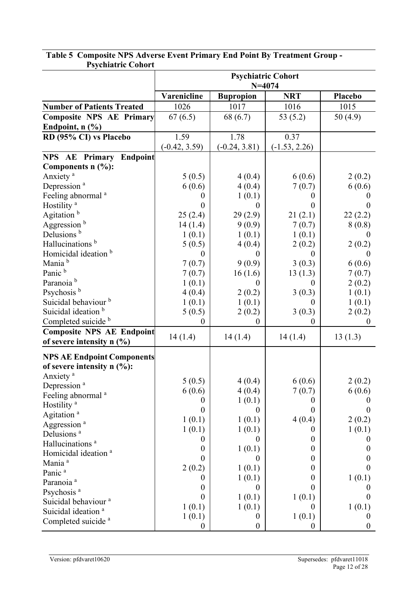|                                                                 | <b>Psychiatric Cohort</b><br>$N = 4074$ |                    |                                      |                  |  |
|-----------------------------------------------------------------|-----------------------------------------|--------------------|--------------------------------------|------------------|--|
|                                                                 | Varenicline                             | <b>Bupropion</b>   | <b>NRT</b>                           | Placebo          |  |
| <b>Number of Patients Treated</b>                               | 1026                                    | 1017               | 1016                                 | 1015             |  |
| <b>Composite NPS AE Primary</b>                                 | 67(6.5)                                 | 68 (6.7)           | 53 $(5.2)$                           | 50(4.9)          |  |
| Endpoint, $n$ $(\% )$                                           |                                         |                    |                                      |                  |  |
| RD (95% CI) vs Placebo                                          | 1.59                                    | 1.78               | 0.37                                 |                  |  |
|                                                                 | $(-0.42, 3.59)$                         | $(-0.24, 3.81)$    | $(-1.53, 2.26)$                      |                  |  |
| Endpoint<br>NPS AE Primary                                      |                                         |                    |                                      |                  |  |
| Components $n$ $(\%):$                                          |                                         |                    |                                      |                  |  |
| Anxiety <sup>a</sup>                                            | 5(0.5)                                  | 4(0.4)             | 6(0.6)                               | 2(0.2)           |  |
| Depression <sup>a</sup>                                         | 6(0.6)                                  | 4(0.4)             | 7(0.7)                               | 6(0.6)           |  |
| Feeling abnormal <sup>a</sup>                                   | $\theta$                                | 1(0.1)             | $\theta$                             | 0                |  |
| Hostility <sup>a</sup>                                          | $\theta$                                | $\Omega$           | $\theta$                             | 0                |  |
| Agitation <sup>b</sup>                                          | 25(2.4)                                 | 29(2.9)            | 21(2.1)                              | 22(2.2)          |  |
| Aggression <sup>b</sup>                                         | 14(1.4)                                 | 9(0.9)             | 7(0.7)                               | 8(0.8)           |  |
| Delusions <sup>b</sup>                                          | 1(0.1)                                  | 1(0.1)             | 1(0.1)                               | $\theta$         |  |
| Hallucinations <sup>b</sup>                                     | 5(0.5)                                  | 4(0.4)             | 2(0.2)                               | 2(0.2)           |  |
| Homicidal ideation b                                            | $\theta$                                | $\theta$           | $\overline{0}$                       | $\theta$         |  |
| Mania <sup>b</sup>                                              | 7(0.7)                                  | 9(0.9)             | 3(0.3)                               | 6(0.6)           |  |
| Panic <sup>b</sup>                                              | 7(0.7)                                  | 16(1.6)            | 13(1.3)                              | 7(0.7)           |  |
| Paranoia <sup>b</sup>                                           | 1(0.1)                                  | $\Omega$           | $\overline{0}$                       | 2(0.2)           |  |
| Psychosis <sup>b</sup>                                          | 4(0.4)                                  | 2(0.2)             | 3(0.3)                               | 1(0.1)           |  |
| Suicidal behaviour <sup>b</sup>                                 | 1(0.1)                                  | 1(0.1)             | $\theta$                             | 1(0.1)           |  |
| Suicidal ideation <sup>b</sup>                                  | 5(0.5)                                  | 2(0.2)             | 3(0.3)                               | 2(0.2)           |  |
| Completed suicide b                                             | $\theta$                                | $\boldsymbol{0}$   | $\overline{0}$                       | $\overline{0}$   |  |
| <b>Composite NPS AE Endpoint</b><br>of severe intensity $n$ (%) | 14(1.4)                                 | 14(1.4)            | 14(1.4)                              | 13(1.3)          |  |
| <b>NPS AE Endpoint Components</b>                               |                                         |                    |                                      |                  |  |
| of severe intensity $n$ (%):                                    |                                         |                    |                                      |                  |  |
| Anxiety <sup>a</sup>                                            |                                         |                    |                                      |                  |  |
| Depression <sup>a</sup>                                         | 5(0.5)                                  | 4(0.4)             | 6(0.6)                               | 2(0.2)           |  |
| Feeling abnormal <sup>a</sup>                                   | 6(0.6)                                  | 4(0.4)             | 7(0.7)                               | 6(0.6)           |  |
| Hostility <sup>a</sup>                                          | $\boldsymbol{0}$                        | 1(0.1)             | $\boldsymbol{0}$                     |                  |  |
| Agitation <sup>a</sup>                                          | $\overline{0}$                          | $\theta$           | 0                                    | O                |  |
| Aggression <sup>a</sup>                                         | 1(0.1)                                  | 1(0.1)             | 4(0.4)                               | 2(0.2)           |  |
| Delusions <sup>a</sup>                                          | 1(0.1)                                  | 1(0.1)             | $\theta$                             | 1(0.1)           |  |
| Hallucinations <sup>a</sup>                                     | 0                                       | $\theta$           | $\boldsymbol{0}$                     |                  |  |
| Homicidal ideation <sup>a</sup>                                 | $\boldsymbol{0}$                        | 1(0.1)             | $\boldsymbol{0}$                     | 0                |  |
| Mania <sup>a</sup>                                              | $\theta$                                | $\boldsymbol{0}$   | $\boldsymbol{0}$                     |                  |  |
| Panic <sup>a</sup>                                              | 2(0.2)<br>$\boldsymbol{0}$              | 1(0.1)             | $\boldsymbol{0}$<br>$\boldsymbol{0}$ | 0                |  |
| Paranoia <sup>a</sup>                                           | $\boldsymbol{0}$                        | 1(0.1)<br>$\theta$ | $\theta$                             | 1(0.1)           |  |
| Psychosis <sup>a</sup>                                          | $\boldsymbol{0}$                        |                    |                                      |                  |  |
| Suicidal behaviour <sup>a</sup>                                 | 1(0.1)                                  | 1(0.1)<br>1(0.1)   | 1(0.1)<br>$\theta$                   |                  |  |
| Suicidal ideation <sup>a</sup>                                  | 1(0.1)                                  | $\boldsymbol{0}$   | 1(0.1)                               | 1(0.1)<br>0      |  |
| Completed suicide <sup>a</sup>                                  | $\boldsymbol{0}$                        | $\boldsymbol{0}$   | $\boldsymbol{0}$                     | $\boldsymbol{0}$ |  |

### **Table 5 Composite NPS Adverse Event Primary End Point By Treatment Group - Psychiatric Cohort**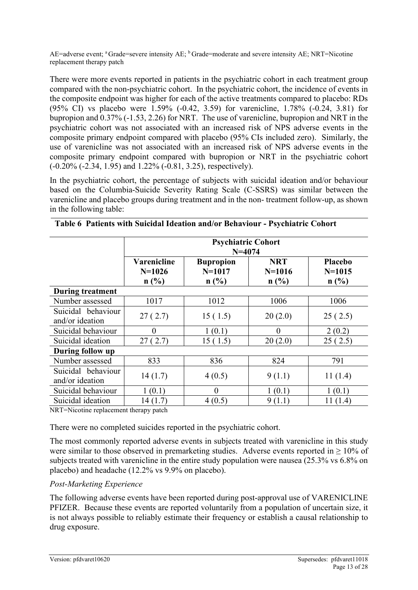AE=adverse event; a Grade=severe intensity AE; b Grade=moderate and severe intensity AE; NRT=Nicotine replacement therapy patch

There were more events reported in patients in the psychiatric cohort in each treatment group compared with the non-psychiatric cohort. In the psychiatric cohort, the incidence of events in the composite endpoint was higher for each of the active treatments compared to placebo: RDs (95% CI) vs placebo were 1.59% (-0.42, 3.59) for varenicline, 1.78% (-0.24, 3.81) for bupropion and 0.37% (-1.53, 2.26) for NRT. The use of varenicline, bupropion and NRT in the psychiatric cohort was not associated with an increased risk of NPS adverse events in the composite primary endpoint compared with placebo (95% CIs included zero). Similarly, the use of varenicline was not associated with an increased risk of NPS adverse events in the composite primary endpoint compared with bupropion or NRT in the psychiatric cohort (-0.20% (-2.34, 1.95) and 1.22% (-0.81, 3.25), respectively).

In the psychiatric cohort, the percentage of subjects with suicidal ideation and/or behaviour based on the Columbia-Suicide Severity Rating Scale (C-SSRS) was similar between the varenicline and placebo groups during treatment and in the non- treatment follow-up, as shown in the following table:

|                                       | <b>Psychiatric Cohort</b><br>$N = 4074$                                                                                                        |          |          |         |  |
|---------------------------------------|------------------------------------------------------------------------------------------------------------------------------------------------|----------|----------|---------|--|
|                                       | Varenicline<br><b>NRT</b><br>Placebo<br><b>Bupropion</b><br>$N = 1017$<br>$N = 1015$<br>$N=1026$<br>$N = 1016$<br>n(%)<br>n(%)<br>n(%)<br>n(%) |          |          |         |  |
| <b>During treatment</b>               |                                                                                                                                                |          |          |         |  |
| Number assessed                       | 1017                                                                                                                                           | 1012     | 1006     | 1006    |  |
| Suicidal behaviour<br>and/or ideation | 27(2.7)                                                                                                                                        | 15(1.5)  | 20(2.0)  | 25(2.5) |  |
| Suicidal behaviour                    | $\theta$                                                                                                                                       | 1(0.1)   | $\theta$ | 2(0.2)  |  |
| Suicidal ideation                     | 27(2.7)                                                                                                                                        | 15(1.5)  | 20(2.0)  | 25(2.5) |  |
| During follow up                      |                                                                                                                                                |          |          |         |  |
| Number assessed                       | 833                                                                                                                                            | 836      | 824      | 791     |  |
| Suicidal behaviour<br>and/or ideation | 14(1.7)                                                                                                                                        | 4(0.5)   | 9(1.1)   | 11(1.4) |  |
| Suicidal behaviour                    | 1(0.1)                                                                                                                                         | $\theta$ | 1(0.1)   | 1(0.1)  |  |
| Suicidal ideation                     | 14(1.7)                                                                                                                                        | 4(0.5)   | 9(1.1)   | 11(1.4) |  |

|  |  | Table 6 Patients with Suicidal Ideation and/or Behaviour - Psychiatric Cohort |
|--|--|-------------------------------------------------------------------------------|
|  |  |                                                                               |

NRT=Nicotine replacement therapy patch

There were no completed suicides reported in the psychiatric cohort.

The most commonly reported adverse events in subjects treated with varenicline in this study were similar to those observed in premarketing studies. Adverse events reported in  $\geq 10\%$  of subjects treated with varenicline in the entire study population were nausea (25.3% vs 6.8% on placebo) and headache (12.2% vs 9.9% on placebo).

#### *Post-Marketing Experience*

The following adverse events have been reported during post-approval use of VARENICLINE PFIZER. Because these events are reported voluntarily from a population of uncertain size, it is not always possible to reliably estimate their frequency or establish a causal relationship to drug exposure.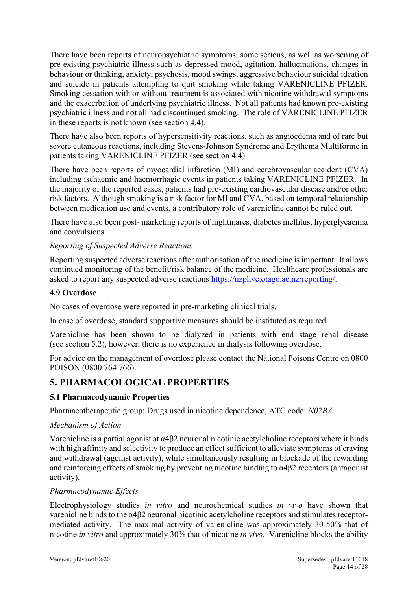There have been reports of neuropsychiatric symptoms, some serious, as well as worsening of pre-existing psychiatric illness such as depressed mood, agitation, hallucinations, changes in behaviour or thinking, anxiety, psychosis, mood swings, aggressive behaviour suicidal ideation and suicide in patients attempting to quit smoking while taking VARENICLINE PFIZER. Smoking cessation with or without treatment is associated with nicotine withdrawal symptoms and the exacerbation of underlying psychiatric illness. Not all patients had known pre-existing psychiatric illness and not all had discontinued smoking. The role of VARENICLINE PFIZER in these reports is not known (see section 4.4).

There have also been reports of hypersensitivity reactions, such as angioedema and of rare but severe cutaneous reactions, including Stevens-Johnson Syndrome and Erythema Multiforme in patients taking VARENICLINE PFIZER (see section 4.4).

There have been reports of myocardial infarction (MI) and cerebrovascular accident (CVA) including ischaemic and haemorrhagic events in patients taking VARENICLINE PFIZER. In the majority of the reported cases, patients had pre-existing cardiovascular disease and/or other risk factors. Although smoking is a risk factor for MI and CVA, based on temporal relationship between medication use and events, a contributory role of varenicline cannot be ruled out.

There have also been post- marketing reports of nightmares, diabetes mellitus, hyperglycaemia and convulsions.

#### *Reporting of Suspected Adverse Reactions*

Reporting suspected adverse reactions after authorisation of the medicine is important. It allows continued monitoring of the benefit/risk balance of the medicine. Healthcare professionals are asked to report any suspected adverse reactions [https://nzphvc.otago.ac.nz/reporting/.](https://nzphvc.otago.ac.nz/reporting/)

#### **4.9 Overdose**

No cases of overdose were reported in pre-marketing clinical trials.

In case of overdose, standard supportive measures should be instituted as required.

Varenicline has been shown to be dialyzed in patients with end stage renal disease (see section 5.2), however, there is no experience in dialysis following overdose.

For advice on the management of overdose please contact the National Poisons Centre on 0800 POISON (0800 764 766).

# **5. PHARMACOLOGICAL PROPERTIES**

#### **5.1 Pharmacodynamic Properties**

Pharmacotherapeutic group: Drugs used in nicotine dependence, ATC code: *N07BA.*

#### *Mechanism of Action*

Varenicline is a partial agonist at α4β2 neuronal nicotinic acetylcholine receptors where it binds with high affinity and selectivity to produce an effect sufficient to alleviate symptoms of craving and withdrawal (agonist activity), while simultaneously resulting in blockade of the rewarding and reinforcing effects of smoking by preventing nicotine binding to α4β2 receptors (antagonist activity).

#### *Pharmacodynamic Effects*

Electrophysiology studies *in vitro* and neurochemical studies *in vivo* have shown that varenicline binds to the α4β2 neuronal nicotinic acetylcholine receptors and stimulates receptormediated activity. The maximal activity of varenicline was approximately 30-50% that of nicotine *in vitro* and approximately 30% that of nicotine *in vivo*. Varenicline blocks the ability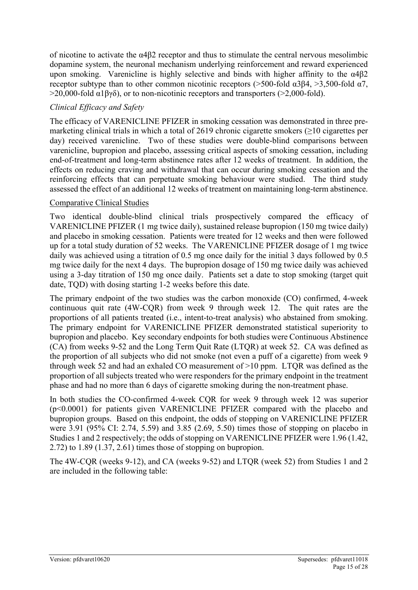of nicotine to activate the  $\alpha$ 4 $\beta$ 2 receptor and thus to stimulate the central nervous mesolimbic dopamine system, the neuronal mechanism underlying reinforcement and reward experienced upon smoking. Varenicline is highly selective and binds with higher affinity to the  $\alpha$ 4 $\beta$ 2 receptor subtype than to other common nicotinic receptors ( $>500$ -fold  $\alpha$ 3 $\beta$ 4,  $>3,500$ -fold  $\alpha$ 7,  $>$ 20,000-fold α1βγδ), or to non-nicotinic receptors and transporters ( $>$ 2,000-fold).

## *Clinical Efficacy and Safety*

The efficacy of VARENICLINE PFIZER in smoking cessation was demonstrated in three premarketing clinical trials in which a total of 2619 chronic cigarette smokers  $(≥10$  cigarettes per day) received varenicline. Two of these studies were double-blind comparisons between varenicline, bupropion and placebo, assessing critical aspects of smoking cessation, including end-of-treatment and long-term abstinence rates after 12 weeks of treatment. In addition, the effects on reducing craving and withdrawal that can occur during smoking cessation and the reinforcing effects that can perpetuate smoking behaviour were studied. The third study assessed the effect of an additional 12 weeks of treatment on maintaining long-term abstinence.

#### Comparative Clinical Studies

Two identical double-blind clinical trials prospectively compared the efficacy of VARENICLINE PFIZER (1 mg twice daily), sustained release bupropion (150 mg twice daily) and placebo in smoking cessation. Patients were treated for 12 weeks and then were followed up for a total study duration of 52 weeks. The VARENICLINE PFIZER dosage of 1 mg twice daily was achieved using a titration of 0.5 mg once daily for the initial 3 days followed by 0.5 mg twice daily for the next 4 days. The bupropion dosage of 150 mg twice daily was achieved using a 3-day titration of 150 mg once daily. Patients set a date to stop smoking (target quit date, TQD) with dosing starting 1-2 weeks before this date.

The primary endpoint of the two studies was the carbon monoxide (CO) confirmed, 4-week continuous quit rate (4W-CQR) from week 9 through week 12. The quit rates are the proportions of all patients treated (i.e., intent-to-treat analysis) who abstained from smoking. The primary endpoint for VARENICLINE PFIZER demonstrated statistical superiority to bupropion and placebo. Key secondary endpoints for both studies were Continuous Abstinence (CA) from weeks 9-52 and the Long Term Quit Rate (LTQR) at week 52. CA was defined as the proportion of all subjects who did not smoke (not even a puff of a cigarette) from week 9 through week 52 and had an exhaled CO measurement of >10 ppm. LTQR was defined as the proportion of all subjects treated who were responders for the primary endpoint in the treatment phase and had no more than 6 days of cigarette smoking during the non-treatment phase.

In both studies the CO-confirmed 4-week CQR for week 9 through week 12 was superior (p<0.0001) for patients given VARENICLINE PFIZER compared with the placebo and bupropion groups. Based on this endpoint, the odds of stopping on VARENICLINE PFIZER were 3.91 (95% CI: 2.74, 5.59) and 3.85 (2.69, 5.50) times those of stopping on placebo in Studies 1 and 2 respectively; the odds of stopping on VARENICLINE PFIZER were 1.96 (1.42, 2.72) to 1.89 (1.37, 2.61) times those of stopping on bupropion.

The 4W-CQR (weeks 9-12), and CA (weeks 9-52) and LTQR (week 52) from Studies 1 and 2 are included in the following table: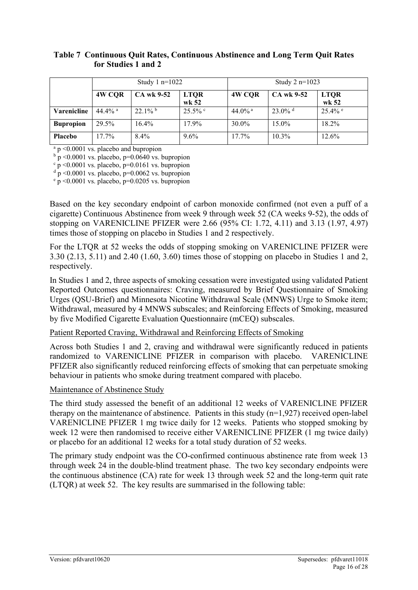#### **Table 7 Continuous Quit Rates, Continuous Abstinence and Long Term Quit Rates for Studies 1 and 2**

|                  | Study $1 n=1022$ |            |                      | Study 2 $n=1023$   |                       |                      |
|------------------|------------------|------------|----------------------|--------------------|-----------------------|----------------------|
|                  | 4W CQR           | CA wk 9-52 | <b>LTQR</b><br>wk 52 | 4W CQR             | CA wk 9-52            | <b>LTQR</b><br>wk 52 |
| Varenicline      | 44.4% $a$        | $22.1\%$   | $25.5\%$             | 44.0% <sup>a</sup> | $23.0\%$ <sup>d</sup> | $25.4\%$ e           |
| <b>Bupropion</b> | 29.5%            | $16.4\%$   | 17.9%                | 30.0%              | 15.0%                 | 18.2%                |
| <b>Placebo</b>   | $17.7\%$         | $8.4\%$    | $9.6\%$              | $17.7\%$           | $10.3\%$              | 12.6%                |

<sup>a</sup> p <0.0001 vs. placebo and bupropion

 $b\bar{p}$  <0.0001 vs. placebo, p=0.0640 vs. bupropion

 $\frac{c}{p}$  <0.0001 vs. placebo, p=0.0161 vs. bupropion

 $\frac{d}{d}$  p <0.0001 vs. placebo, p=0.0062 vs. bupropion

 $\frac{e}{p}$  <0.0001 vs. placebo, p=0.0205 vs. bupropion

Based on the key secondary endpoint of carbon monoxide confirmed (not even a puff of a cigarette) Continuous Abstinence from week 9 through week 52 (CA weeks 9-52), the odds of stopping on VARENICLINE PFIZER were 2.66 (95% CI: 1.72, 4.11) and 3.13 (1.97, 4.97) times those of stopping on placebo in Studies 1 and 2 respectively.

For the LTQR at 52 weeks the odds of stopping smoking on VARENICLINE PFIZER were 3.30 (2.13, 5.11) and 2.40 (1.60, 3.60) times those of stopping on placebo in Studies 1 and 2, respectively.

In Studies 1 and 2, three aspects of smoking cessation were investigated using validated Patient Reported Outcomes questionnaires: Craving, measured by Brief Questionnaire of Smoking Urges (QSU-Brief) and Minnesota Nicotine Withdrawal Scale (MNWS) Urge to Smoke item; Withdrawal, measured by 4 MNWS subscales; and Reinforcing Effects of Smoking, measured by five Modified Cigarette Evaluation Questionnaire (mCEQ) subscales.

#### Patient Reported Craving, Withdrawal and Reinforcing Effects of Smoking

Across both Studies 1 and 2, craving and withdrawal were significantly reduced in patients randomized to VARENICLINE PFIZER in comparison with placebo. VARENICLINE PFIZER also significantly reduced reinforcing effects of smoking that can perpetuate smoking behaviour in patients who smoke during treatment compared with placebo.

#### Maintenance of Abstinence Study

The third study assessed the benefit of an additional 12 weeks of VARENICLINE PFIZER therapy on the maintenance of abstinence. Patients in this study (n=1,927) received open-label VARENICLINE PFIZER 1 mg twice daily for 12 weeks. Patients who stopped smoking by week 12 were then randomised to receive either VARENICLINE PFIZER (1 mg twice daily) or placebo for an additional 12 weeks for a total study duration of 52 weeks.

The primary study endpoint was the CO-confirmed continuous abstinence rate from week 13 through week 24 in the double-blind treatment phase. The two key secondary endpoints were the continuous abstinence (CA) rate for week 13 through week 52 and the long-term quit rate (LTQR) at week 52. The key results are summarised in the following table: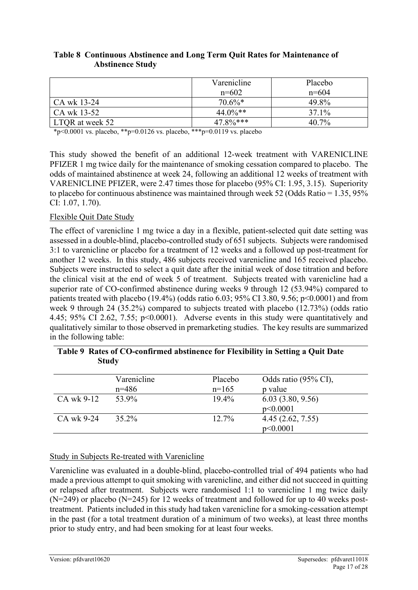|                 | Varenicline | Placebo |
|-----------------|-------------|---------|
|                 | $n=602$     | $n=604$ |
| CA wk 13-24     | $70.6\%*$   | 49.8%   |
| CA wk 13-52     | $44.0\%**$  | 37.1%   |
| LTOR at week 52 | $47.8\%***$ | 40.7%   |

#### **Table 8 Continuous Abstinence and Long Term Quit Rates for Maintenance of Abstinence Study**

\*p<0.0001 vs. placebo, \*\*p=0.0126 vs. placebo, \*\*\*p=0.0119 vs. placebo

This study showed the benefit of an additional 12-week treatment with VARENICLINE PFIZER 1 mg twice daily for the maintenance of smoking cessation compared to placebo. The odds of maintained abstinence at week 24, following an additional 12 weeks of treatment with VARENICLINE PFIZER, were 2.47 times those for placebo (95% CI: 1.95, 3.15). Superiority to placebo for continuous abstinence was maintained through week 52 (Odds Ratio = 1.35, 95% CI: 1.07, 1.70).

#### Flexible Quit Date Study

The effect of varenicline 1 mg twice a day in a flexible, patient-selected quit date setting was assessed in a double-blind, placebo-controlled study of 651 subjects. Subjects were randomised 3:1 to varenicline or placebo for a treatment of 12 weeks and a followed up post-treatment for another 12 weeks. In this study, 486 subjects received varenicline and 165 received placebo. Subjects were instructed to select a quit date after the initial week of dose titration and before the clinical visit at the end of week 5 of treatment. Subjects treated with varenicline had a superior rate of CO-confirmed abstinence during weeks 9 through 12 (53.94%) compared to patients treated with placebo (19.4%) (odds ratio 6.03; 95% CI 3.80, 9.56;  $p<0.0001$ ) and from week 9 through 24 (35.2%) compared to subjects treated with placebo (12.73%) (odds ratio 4.45; 95% CI 2.62, 7.55; p<0.0001). Adverse events in this study were quantitatively and qualitatively similar to those observed in premarketing studies. The key results are summarized in the following table:

|            | Varenicline | Placebo  | Odds ratio (95% CI), |
|------------|-------------|----------|----------------------|
|            | $n=486$     | $n=165$  | p value              |
| CA wk 9-12 | 53.9%       | $19.4\%$ | 6.03(3.80, 9.56)     |
|            |             |          | p<0.0001             |
| CA wk 9-24 | $35.2\%$    | $12.7\%$ | 4.45(2.62, 7.55)     |
|            |             |          | p<0.0001             |

| Table 9 Rates of CO-confirmed abstinence for Flexibility in Setting a Quit Date |
|---------------------------------------------------------------------------------|
| Study                                                                           |

#### Study in Subjects Re-treated with Varenicline

Varenicline was evaluated in a double-blind, placebo-controlled trial of 494 patients who had made a previous attempt to quit smoking with varenicline, and either did not succeed in quitting or relapsed after treatment. Subjects were randomised 1:1 to varenicline 1 mg twice daily (N=249) or placebo (N=245) for 12 weeks of treatment and followed for up to 40 weeks posttreatment. Patients included in this study had taken varenicline for a smoking-cessation attempt in the past (for a total treatment duration of a minimum of two weeks), at least three months prior to study entry, and had been smoking for at least four weeks.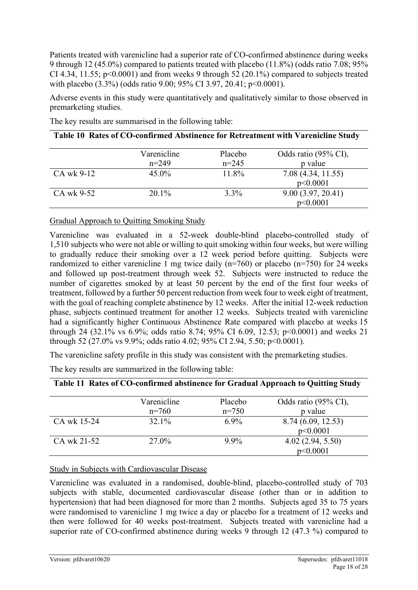Patients treated with varenicline had a superior rate of CO-confirmed abstinence during weeks 9 through 12 (45.0%) compared to patients treated with placebo (11.8%) (odds ratio 7.08; 95% CI 4.34, 11.55;  $p<0.0001$  and from weeks 9 through 52 (20.1%) compared to subjects treated with placebo (3.3%) (odds ratio 9.00; 95% CI 3.97, 20.41; p<0.0001).

Adverse events in this study were quantitatively and qualitatively similar to those observed in premarketing studies.

The key results are summarised in the following table:

#### **Table 10 Rates of CO-confirmed Abstinence for Retreatment with Varenicline Study**

|            | Varenicline<br>$n=249$ | Placebo<br>$n=245$ | Odds ratio (95% CI),<br>p value |
|------------|------------------------|--------------------|---------------------------------|
| CA wk 9-12 | $45.0\%$               | 11.8%              | 7.08(4.34, 11.55)<br>p<0.0001   |
| CA wk 9-52 | $20.1\%$               | $3.3\%$            | 9.00(3.97, 20.41)<br>p<0.0001   |

Gradual Approach to Quitting Smoking Study

Varenicline was evaluated in a 52-week double-blind placebo-controlled study of 1,510 subjects who were not able or willing to quit smoking within four weeks, but were willing to gradually reduce their smoking over a 12 week period before quitting. Subjects were randomized to either varenicline 1 mg twice daily  $(n=760)$  or placebo  $(n=750)$  for 24 weeks and followed up post-treatment through week 52. Subjects were instructed to reduce the number of cigarettes smoked by at least 50 percent by the end of the first four weeks of treatment, followed by a further 50 percent reduction from week four to week eight of treatment, with the goal of reaching complete abstinence by 12 weeks. After the initial 12-week reduction phase, subjects continued treatment for another 12 weeks. Subjects treated with varenicline had a significantly higher Continuous Abstinence Rate compared with placebo at weeks 15 through 24 (32.1% vs 6.9%; odds ratio 8.74; 95% CI 6.09, 12.53; p<0.0001) and weeks 21 through 52 (27.0% vs 9.9%; odds ratio 4.02; 95% CI 2.94, 5.50; p<0.0001).

The varenicline safety profile in this study was consistent with the premarketing studies.

The key results are summarized in the following table:

|             | Varenicline | Placebo | Odds ratio (95% CI), |
|-------------|-------------|---------|----------------------|
|             | $n=760$     | $n=750$ | p value              |
| CA wk 15-24 | 32.1%       | $6.9\%$ | 8.74 (6.09, 12.53)   |
|             |             |         | p<0.0001             |
| CA wk 21-52 | 27.0%       | $9.9\%$ | 4.02(2.94, 5.50)     |
|             |             |         | p<0.0001             |

#### **Table 11 Rates of CO-confirmed abstinence for Gradual Approach to Quitting Study**

#### Study in Subjects with Cardiovascular Disease

Varenicline was evaluated in a randomised, double-blind, placebo-controlled study of 703 subjects with stable, documented cardiovascular disease (other than or in addition to hypertension) that had been diagnosed for more than 2 months. Subjects aged 35 to 75 years were randomised to varenicline 1 mg twice a day or placebo for a treatment of 12 weeks and then were followed for 40 weeks post-treatment. Subjects treated with varenicline had a superior rate of CO-confirmed abstinence during weeks 9 through 12 (47.3 %) compared to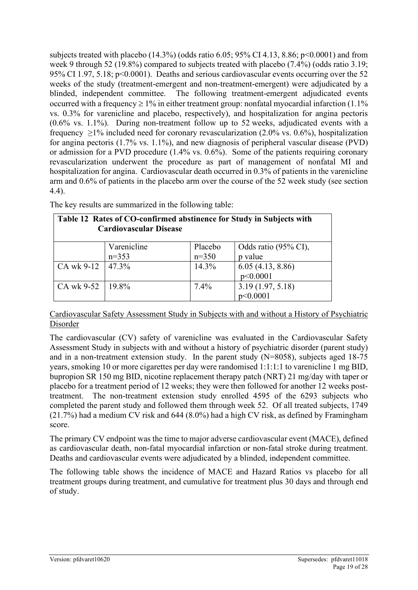subjects treated with placebo  $(14.3\%)$  (odds ratio 6.05; 95% CI 4.13, 8.86; p<0.0001) and from week 9 through 52 (19.8%) compared to subjects treated with placebo (7.4%) (odds ratio 3.19; 95% CI 1.97, 5.18; p<0.0001). Deaths and serious cardiovascular events occurring over the 52 weeks of the study (treatment-emergent and non-treatment-emergent) were adjudicated by a blinded, independent committee. The following treatment-emergent adjudicated events occurred with a frequency  $\geq 1\%$  in either treatment group: nonfatal myocardial infarction (1.1%) vs. 0.3% for varenicline and placebo, respectively), and hospitalization for angina pectoris (0.6% vs. 1.1%). During non-treatment follow up to 52 weeks, adjudicated events with a frequency  $\geq$ 1% included need for coronary revascularization (2.0% vs. 0.6%), hospitalization for angina pectoris (1.7% vs. 1.1%), and new diagnosis of peripheral vascular disease (PVD) or admission for a PVD procedure (1.4% vs. 0.6%). Some of the patients requiring coronary revascularization underwent the procedure as part of management of nonfatal MI and hospitalization for angina. Cardiovascular death occurred in 0.3% of patients in the varenicline arm and 0.6% of patients in the placebo arm over the course of the 52 week study (see section 4.4).

| Table 12 Rates of CO-confirmed abstinence for Study in Subjects with<br><b>Cardiovascular Disease</b> |             |         |                      |  |  |
|-------------------------------------------------------------------------------------------------------|-------------|---------|----------------------|--|--|
|                                                                                                       | Varenicline | Placebo | Odds ratio (95% CI), |  |  |
|                                                                                                       | $n=353$     | $n=350$ | p value              |  |  |
| CA wk 9-12                                                                                            | 47.3%       | 14.3%   | 6.05(4.13, 8.86)     |  |  |
|                                                                                                       |             |         | p<0.0001             |  |  |
| CA wk 9-52                                                                                            | 19.8%       | 7.4%    | 3.19(1.97, 5.18)     |  |  |
|                                                                                                       |             |         | p<0.0001             |  |  |

The key results are summarized in the following table:

#### Cardiovascular Safety Assessment Study in Subjects with and without a History of Psychiatric Disorder

The cardiovascular (CV) safety of varenicline was evaluated in the Cardiovascular Safety Assessment Study in subjects with and without a history of psychiatric disorder (parent study) and in a non-treatment extension study. In the parent study (N=8058), subjects aged 18-75 years, smoking 10 or more cigarettes per day were randomised 1:1:1:1 to varenicline 1 mg BID, bupropion SR 150 mg BID, nicotine replacement therapy patch (NRT) 21 mg/day with taper or placebo for a treatment period of 12 weeks; they were then followed for another 12 weeks posttreatment. The non-treatment extension study enrolled 4595 of the 6293 subjects who completed the parent study and followed them through week 52. Of all treated subjects, 1749 (21.7%) had a medium CV risk and 644 (8.0%) had a high CV risk, as defined by Framingham score.

The primary CV endpoint was the time to major adverse cardiovascular event (MACE), defined as cardiovascular death, non-fatal myocardial infarction or non-fatal stroke during treatment. Deaths and cardiovascular events were adjudicated by a blinded, independent committee.

The following table shows the incidence of MACE and Hazard Ratios vs placebo for all treatment groups during treatment, and cumulative for treatment plus 30 days and through end of study.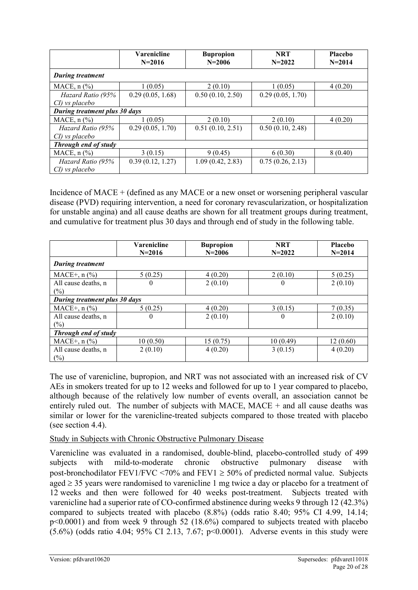|                                      | Varenicline<br>$N = 2016$ | <b>Bupropion</b><br>$N = 2006$ | <b>NRT</b><br>$N = 2022$ | Placebo<br>$N = 2014$ |  |
|--------------------------------------|---------------------------|--------------------------------|--------------------------|-----------------------|--|
| <b>During treatment</b>              |                           |                                |                          |                       |  |
| MACE, $n$ $\left(\frac{9}{0}\right)$ | 1(0.05)                   | 2(0.10)                        | 1(0.05)                  | 4(0.20)               |  |
| Hazard Ratio (95%                    | 0.29(0.05, 1.68)          | 0.50(0.10, 2.50)               | 0.29(0.05, 1.70)         |                       |  |
| CI) vs placebo                       |                           |                                |                          |                       |  |
| During treatment plus 30 days        |                           |                                |                          |                       |  |
| MACE, $n$ $\left(\frac{9}{0}\right)$ | 1(0.05)                   | 2(0.10)                        | 2(0.10)                  | 4(0.20)               |  |
| Hazard Ratio (95%                    | 0.29(0.05, 1.70)          | 0.51(0.10, 2.51)               | 0.50(0.10, 2.48)         |                       |  |
| CI) vs placebo                       |                           |                                |                          |                       |  |
| Through end of study                 |                           |                                |                          |                       |  |
| MACE, $n$ $\left(\frac{9}{0}\right)$ | 3(0.15)                   | 9(0.45)                        | 6(0.30)                  | 8(0.40)               |  |
| Hazard Ratio (95%                    | 0.39(0.12, 1.27)          | 1.09(0.42, 2.83)               | 0.75(0.26, 2.13)         |                       |  |
| CI) vs placebo                       |                           |                                |                          |                       |  |

Incidence of MACE + (defined as any MACE or a new onset or worsening peripheral vascular disease (PVD) requiring intervention, a need for coronary revascularization, or hospitalization for unstable angina) and all cause deaths are shown for all treatment groups during treatment, and cumulative for treatment plus 30 days and through end of study in the following table.

|                               | <b>Varenicline</b><br>$N = 2016$ | <b>Bupropion</b><br>$N = 2006$ | <b>NRT</b><br>$N = 2022$ | <b>Placebo</b><br>$N = 2014$ |
|-------------------------------|----------------------------------|--------------------------------|--------------------------|------------------------------|
| <b>During treatment</b>       |                                  |                                |                          |                              |
| $MACE+, n (%)$                | 5(0.25)                          | 4(0.20)                        | 2(0.10)                  | 5(0.25)                      |
| All cause deaths, n           | $\theta$                         | 2(0.10)                        | $\theta$                 | 2(0.10)                      |
| (%)                           |                                  |                                |                          |                              |
| During treatment plus 30 days |                                  |                                |                          |                              |
| $MACE+, n (\%)$               | 5(0.25)                          | 4(0.20)                        | 3(0.15)                  | 7(0.35)                      |
| All cause deaths, n           | $\theta$                         | 2(0.10)                        | $\overline{0}$           | 2(0.10)                      |
| (%)                           |                                  |                                |                          |                              |
| Through end of study          |                                  |                                |                          |                              |
| $MACE+$ , n $(\%$             | 10(0.50)                         | 15(0.75)                       | 10(0.49)                 | 12(0.60)                     |
| All cause deaths, n           | 2(0.10)                          | 4(0.20)                        | 3(0.15)                  | 4(0.20)                      |
| $(\%)$                        |                                  |                                |                          |                              |

The use of varenicline, bupropion, and NRT was not associated with an increased risk of CV AEs in smokers treated for up to 12 weeks and followed for up to 1 year compared to placebo, although because of the relatively low number of events overall, an association cannot be entirely ruled out. The number of subjects with MACE, MACE  $+$  and all cause deaths was similar or lower for the varenicline-treated subjects compared to those treated with placebo (see section 4.4).

#### Study in Subjects with Chronic Obstructive Pulmonary Disease

Varenicline was evaluated in a randomised, double-blind, placebo-controlled study of 499 subjects with mild-to-moderate chronic obstructive pulmonary disease with post-bronchodilator FEV1/FVC <70% and FEV1  $\geq$  50% of predicted normal value. Subjects aged ≥ 35 years were randomised to varenicline 1 mg twice a day or placebo for a treatment of 12 weeks and then were followed for 40 weeks post-treatment. Subjects treated with varenicline had a superior rate of CO-confirmed abstinence during weeks 9 through 12 (42.3%) compared to subjects treated with placebo (8.8%) (odds ratio 8.40; 95% CI 4.99, 14.14; p<0.0001) and from week 9 through 52 (18.6%) compared to subjects treated with placebo (5.6%) (odds ratio 4.04; 95% CI 2.13, 7.67; p<0.0001). Adverse events in this study were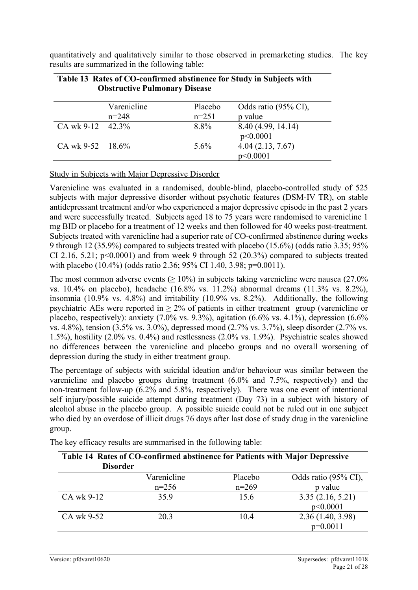quantitatively and qualitatively similar to those observed in premarketing studies. The key results are summarized in the following table:

|                     | Varenicline | Placebo | Odds ratio (95% CI), |
|---------------------|-------------|---------|----------------------|
|                     | $n=248$     | $n=251$ | p value              |
| CA wk 9-12 $42.3\%$ |             | 8.8%    | 8.40 (4.99, 14.14)   |
|                     |             |         | p<0.0001             |
| CA wk $9-52$ 18.6%  |             | $5.6\%$ | 4.04(2.13, 7.67)     |
|                     |             |         | p<0.0001             |

#### **Table 13 Rates of CO-confirmed abstinence for Study in Subjects with Obstructive Pulmonary Disease**

#### Study in Subjects with Major Depressive Disorder

Varenicline was evaluated in a randomised, double-blind, placebo-controlled study of 525 subjects with major depressive disorder without psychotic features (DSM-IV TR), on stable antidepressant treatment and/or who experienced a major depressive episode in the past 2 years and were successfully treated. Subjects aged 18 to 75 years were randomised to varenicline 1 mg BID or placebo for a treatment of 12 weeks and then followed for 40 weeks post-treatment. Subjects treated with varenicline had a superior rate of CO-confirmed abstinence during weeks 9 through 12 (35.9%) compared to subjects treated with placebo (15.6%) (odds ratio 3.35; 95% CI 2.16, 5.21;  $p<0.0001$ ) and from week 9 through 52 (20.3%) compared to subjects treated with placebo (10.4%) (odds ratio 2.36; 95% CI 1.40, 3.98; p=0.0011).

The most common adverse events ( $\geq 10\%$ ) in subjects taking varenicline were nausea (27.0%) vs. 10.4% on placebo), headache (16.8% vs. 11.2%) abnormal dreams (11.3% vs. 8.2%), insomnia (10.9% vs. 4.8%) and irritability (10.9% vs. 8.2%). Additionally, the following psychiatric AEs were reported in  $\geq 2\%$  of patients in either treatment group (varenicline or placebo, respectively): anxiety (7.0% vs. 9.3%), agitation (6.6% vs. 4.1%), depression (6.6% vs. 4.8%), tension (3.5% vs. 3.0%), depressed mood (2.7% vs. 3.7%), sleep disorder (2.7% vs. 1.5%), hostility (2.0% vs. 0.4%) and restlessness (2.0% vs. 1.9%). Psychiatric scales showed no differences between the varenicline and placebo groups and no overall worsening of depression during the study in either treatment group.

The percentage of subjects with suicidal ideation and/or behaviour was similar between the varenicline and placebo groups during treatment (6.0% and 7.5%, respectively) and the non-treatment follow-up (6.2% and 5.8%, respectively). There was one event of intentional self injury/possible suicide attempt during treatment (Day 73) in a subject with history of alcohol abuse in the placebo group. A possible suicide could not be ruled out in one subject who died by an overdose of illicit drugs 76 days after last dose of study drug in the varenicline group.

| Table 14 Rates of CO-confirmed abstinence for Patients with Major Depressive<br><b>Disorder</b> |                        |                    |                                 |  |
|-------------------------------------------------------------------------------------------------|------------------------|--------------------|---------------------------------|--|
|                                                                                                 | Varenicline<br>$n=256$ | Placebo<br>$n=269$ | Odds ratio (95% CI),<br>p value |  |
| CA wk 9-12                                                                                      | 35.9                   | 15.6               | 3.35(2.16, 5.21)<br>p<0.0001    |  |
| CA wk 9-52                                                                                      | 20.3                   | 10.4               | 2.36(1.40, 3.98)<br>$p=0.0011$  |  |

The key efficacy results are summarised in the following table: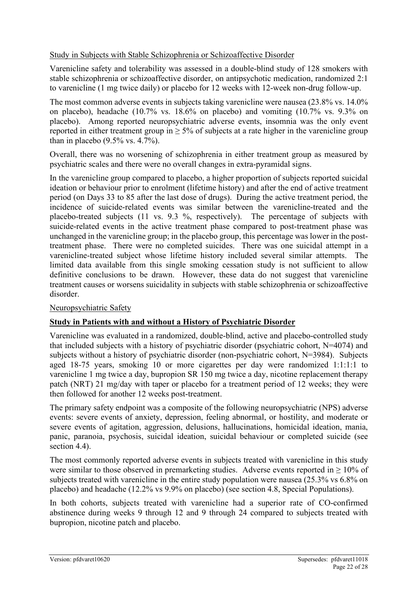#### Study in Subjects with Stable Schizophrenia or Schizoaffective Disorder

Varenicline safety and tolerability was assessed in a double-blind study of 128 smokers with stable schizophrenia or schizoaffective disorder, on antipsychotic medication, randomized 2:1 to varenicline (1 mg twice daily) or placebo for 12 weeks with 12-week non-drug follow-up.

The most common adverse events in subjects taking varenicline were nausea (23.8% vs. 14.0% on placebo), headache (10.7% vs. 18.6% on placebo) and vomiting (10.7% vs. 9.3% on placebo). Among reported neuropsychiatric adverse events, insomnia was the only event reported in either treatment group in  $\geq$  5% of subjects at a rate higher in the varenicline group than in placebo  $(9.5\% \text{ vs. } 4.7\%)$ .

Overall, there was no worsening of schizophrenia in either treatment group as measured by psychiatric scales and there were no overall changes in extra-pyramidal signs.

In the varenicline group compared to placebo, a higher proportion of subjects reported suicidal ideation or behaviour prior to enrolment (lifetime history) and after the end of active treatment period (on Days 33 to 85 after the last dose of drugs). During the active treatment period, the incidence of suicide-related events was similar between the varenicline-treated and the placebo-treated subjects (11 vs. 9.3 %, respectively). The percentage of subjects with suicide-related events in the active treatment phase compared to post-treatment phase was unchanged in the varenicline group; in the placebo group, this percentage was lower in the posttreatment phase. There were no completed suicides. There was one suicidal attempt in a varenicline-treated subject whose lifetime history included several similar attempts. The limited data available from this single smoking cessation study is not sufficient to allow definitive conclusions to be drawn. However, these data do not suggest that varenicline treatment causes or worsens suicidality in subjects with stable schizophrenia or schizoaffective disorder.

#### Neuropsychiatric Safety

#### **Study in Patients with and without a History of Psychiatric Disorder**

Varenicline was evaluated in a randomized, double-blind, active and placebo-controlled study that included subjects with a history of psychiatric disorder (psychiatric cohort, N=4074) and subjects without a history of psychiatric disorder (non-psychiatric cohort, N=3984). Subjects aged 18-75 years, smoking 10 or more cigarettes per day were randomized 1:1:1:1 to varenicline 1 mg twice a day, bupropion SR 150 mg twice a day, nicotine replacement therapy patch (NRT) 21 mg/day with taper or placebo for a treatment period of 12 weeks; they were then followed for another 12 weeks post-treatment.

The primary safety endpoint was a composite of the following neuropsychiatric (NPS) adverse events: severe events of anxiety, depression, feeling abnormal, or hostility, and moderate or severe events of agitation, aggression, delusions, hallucinations, homicidal ideation, mania, panic, paranoia, psychosis, suicidal ideation, suicidal behaviour or completed suicide (see section 4.4).

The most commonly reported adverse events in subjects treated with varenicline in this study were similar to those observed in premarketing studies. Adverse events reported in  $\geq 10\%$  of subjects treated with varenicline in the entire study population were nausea (25.3% vs 6.8% on placebo) and headache (12.2% vs 9.9% on placebo) (see section 4.8, Special Populations).

In both cohorts, subjects treated with varenicline had a superior rate of CO-confirmed abstinence during weeks 9 through 12 and 9 through 24 compared to subjects treated with bupropion, nicotine patch and placebo.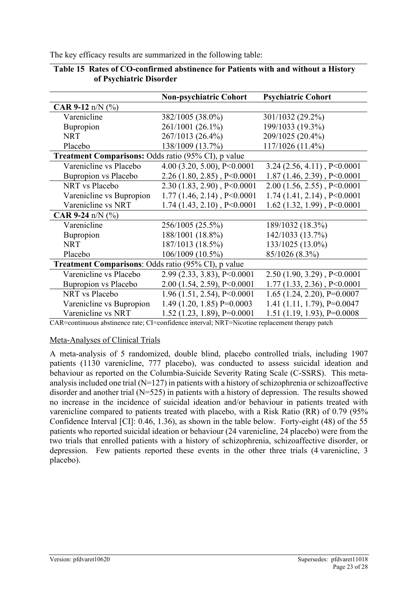The key efficacy results are summarized in the following table:

|                                                            | <b>Non-psychiatric Cohort</b>      | <b>Psychiatric Cohort</b>        |
|------------------------------------------------------------|------------------------------------|----------------------------------|
| <b>CAR 9-12</b> n/N $(\% )$                                |                                    |                                  |
| Varenicline                                                | 382/1005 (38.0%)                   | 301/1032 (29.2%)                 |
| Bupropion                                                  | 261/1001 (26.1%)                   | 199/1033 (19.3%)                 |
| <b>NRT</b>                                                 | 267/1013 (26.4%)                   | 209/1025 (20.4%)                 |
| Placebo                                                    | 138/1009 (13.7%)                   | 117/1026 (11.4%)                 |
| <b>Treatment Comparisons:</b> Odds ratio (95% CI), p value |                                    |                                  |
| Varenicline vs Placebo                                     | 4.00 (3.20, 5.00), $P \le 0.0001$  | $3.24$ (2.56, 4.11), P<0.0001    |
| Bupropion vs Placebo                                       | $2.26$ (1.80, 2.85), P<0.0001      | $1.87(1.46, 2.39)$ , P<0.0001    |
| NRT vs Placebo                                             | $2.30(1.83, 2.90)$ , P<0.0001      | $2.00(1.56, 2.55)$ , P<0.0001    |
| Varenicline vs Bupropion                                   | $1.77$ $(1.46, 2.14)$ , P<0.0001   | $1.74$ $(1.41, 2.14)$ , P<0.0001 |
| Varenicline vs NRT                                         | $1.74$ $(1.43, 2.10)$ , $P<0.0001$ | 1.62 $(1.32, 1.99)$ , P<0.0001   |
| <b>CAR 9-24</b> n/N $(\% )$                                |                                    |                                  |
| Varenicline                                                | 256/1005 (25.5%)                   | 189/1032 (18.3%)                 |
| Bupropion                                                  | 188/1001 (18.8%)                   | 142/1033 (13.7%)                 |
| <b>NRT</b>                                                 | 187/1013 (18.5%)                   | 133/1025 (13.0%)                 |
| Placebo                                                    | 106/1009 (10.5%)                   | 85/1026 (8.3%)                   |
| <b>Treatment Comparisons: Odds ratio (95% CI), p value</b> |                                    |                                  |
| Varenicline vs Placebo                                     | 2.99 (2.33, 3.83), P<0.0001        | $2.50(1.90, 3.29)$ , P<0.0001    |
| Bupropion vs Placebo                                       | 2.00 (1.54, 2.59), P<0.0001        | $1.77(1.33, 2.36)$ , P<0.0001    |
| NRT vs Placebo                                             | $1.96$ (1.51, 2.54), P<0.0001      | $1.65$ (1.24, 2.20), P=0.0007    |
| Varenicline vs Bupropion                                   | 1.49 (1.20, 1.85) P=0.0003         | 1.41 $(1.11, 1.79)$ , P=0.0047   |
| Varenicline vs NRT                                         | $1.52$ (1.23, 1.89), P=0.0001      | 1.51 (1.19, 1.93), $P=0.0008$    |

| Table 15 Rates of CO-confirmed abstinence for Patients with and without a History |
|-----------------------------------------------------------------------------------|
| of Psychiatric Disorder                                                           |

CAR=continuous abstinence rate; CI=confidence interval; NRT=Nicotine replacement therapy patch

#### Meta-Analyses of Clinical Trials

A meta-analysis of 5 randomized, double blind, placebo controlled trials, including 1907 patients (1130 varenicline, 777 placebo), was conducted to assess suicidal ideation and behaviour as reported on the Columbia-Suicide Severity Rating Scale (C-SSRS). This metaanalysis included one trial  $(N=127)$  in patients with a history of schizophrenia or schizoaffective disorder and another trial (N=525) in patients with a history of depression. The results showed no increase in the incidence of suicidal ideation and/or behaviour in patients treated with varenicline compared to patients treated with placebo, with a Risk Ratio (RR) of 0.79 (95% Confidence Interval [CI]: 0.46, 1.36), as shown in the table below. Forty-eight (48) of the 55 patients who reported suicidal ideation or behaviour (24 varenicline, 24 placebo) were from the two trials that enrolled patients with a history of schizophrenia, schizoaffective disorder, or depression. Few patients reported these events in the other three trials (4 varenicline, 3 placebo).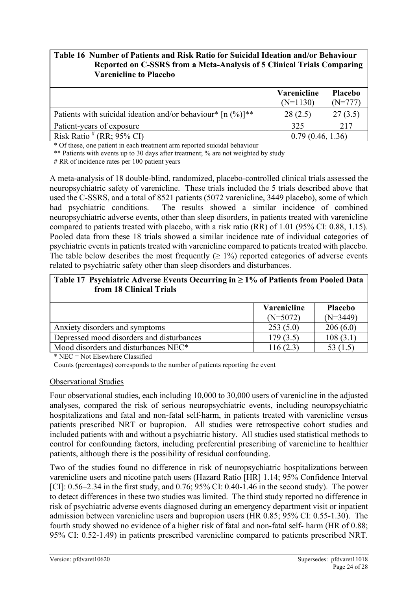#### **Table 16 Number of Patients and Risk Ratio for Suicidal Ideation and/or Behaviour Reported on C-SSRS from a Meta-Analysis of 5 Clinical Trials Comparing Varenicline to Placebo**

|                                                               | Varenicline<br>$(N=1130)$ | Placebo<br>(N=777 |
|---------------------------------------------------------------|---------------------------|-------------------|
| Patients with suicidal ideation and/or behaviour* $[n (%)]**$ | 28(2.5)                   | 27(3.5)           |
| Patient-years of exposure                                     | 325                       | 217               |
| Risk Ratio $# (RR; 95\% \text{ CI})$                          | 0.79(0.46, 1.36)          |                   |

\* Of these, one patient in each treatment arm reported suicidal behaviour

\*\* Patients with events up to 30 days after treatment; % are not weighted by study

# RR of incidence rates per 100 patient years

A meta-analysis of 18 double-blind, randomized, placebo-controlled clinical trials assessed the neuropsychiatric safety of varenicline. These trials included the 5 trials described above that used the C-SSRS, and a total of 8521 patients (5072 varenicline, 3449 placebo), some of which had psychiatric conditions. The results showed a similar incidence of combined neuropsychiatric adverse events, other than sleep disorders, in patients treated with varenicline compared to patients treated with placebo, with a risk ratio (RR) of 1.01 (95% CI: 0.88, 1.15). Pooled data from these 18 trials showed a similar incidence rate of individual categories of psychiatric events in patients treated with varenicline compared to patients treated with placebo. The table below describes the most frequently  $(≥ 1%)$  reported categories of adverse events related to psychiatric safety other than sleep disorders and disturbances.

| Table 17 Psychiatric Adverse Events Occurring in $\geq 1\%$ of Patients from Pooled Data<br>from 18 Clinical Trials |             |                |  |  |
|---------------------------------------------------------------------------------------------------------------------|-------------|----------------|--|--|
|                                                                                                                     | Varenicline | <b>Placebo</b> |  |  |
|                                                                                                                     | $(N=5072)$  | $(N=3449)$     |  |  |
| Anxiety disorders and symptoms                                                                                      | 253(5.0)    | 206(6.0)       |  |  |
| Depressed mood disorders and disturbances                                                                           | 179(3.5)    | 108(3.1)       |  |  |
| Mood disorders and disturbances NEC*                                                                                | 116(2.3)    | 53 (1.5)       |  |  |

\* NEC = Not Elsewhere Classified

Counts (percentages) corresponds to the number of patients reporting the event

#### Observational Studies

Four observational studies, each including 10,000 to 30,000 users of varenicline in the adjusted analyses, compared the risk of serious neuropsychiatric events, including neuropsychiatric hospitalizations and fatal and non-fatal self-harm, in patients treated with varenicline versus patients prescribed NRT or bupropion. All studies were retrospective cohort studies and included patients with and without a psychiatric history. All studies used statistical methods to control for confounding factors, including preferential prescribing of varenicline to healthier patients, although there is the possibility of residual confounding.

Two of the studies found no difference in risk of neuropsychiatric hospitalizations between varenicline users and nicotine patch users (Hazard Ratio [HR] 1.14; 95% Confidence Interval [CI]:  $0.56-2.34$  in the first study, and  $0.76$ ;  $95\%$  CI:  $0.40-1.46$  in the second study). The power to detect differences in these two studies was limited. The third study reported no difference in risk of psychiatric adverse events diagnosed during an emergency department visit or inpatient admission between varenicline users and bupropion users (HR 0.85; 95% CI: 0.55-1.30). The fourth study showed no evidence of a higher risk of fatal and non-fatal self- harm (HR of 0.88; 95% CI: 0.52-1.49) in patients prescribed varenicline compared to patients prescribed NRT.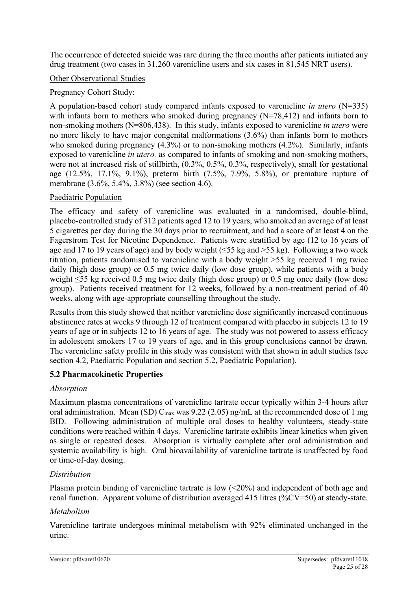The occurrence of detected suicide was rare during the three months after patients initiated any drug treatment (two cases in 31,260 varenicline users and six cases in 81,545 NRT users).

#### Other Observational Studies

#### Pregnancy Cohort Study:

A population-based cohort study compared infants exposed to varenicline *in utero* (N=335) with infants born to mothers who smoked during pregnancy (N=78,412) and infants born to non-smoking mothers (N=806,438). In this study, infants exposed to varenicline *in utero* were no more likely to have major congenital malformations (3.6%) than infants born to mothers who smoked during pregnancy  $(4.3\%)$  or to non-smoking mothers  $(4.2\%)$ . Similarly, infants exposed to varenicline *in utero,* as compared to infants of smoking and non-smoking mothers, were not at increased risk of stillbirth, (0.3%, 0.5%, 0.3%, respectively), small for gestational age (12.5%, 17.1%, 9.1%), preterm birth (7.5%, 7.9%, 5.8%), or premature rupture of membrane (3.6%, 5.4%, 3.8%) (see section 4.6).

#### Paediatric Population

The efficacy and safety of varenicline was evaluated in a randomised, double-blind, placebo-controlled study of 312 patients aged 12 to 19 years, who smoked an average of at least 5 cigarettes per day during the 30 days prior to recruitment, and had a score of at least 4 on the Fagerstrom Test for Nicotine Dependence. Patients were stratified by age (12 to 16 years of age and 17 to 19 years of age) and by body weight ( $\leq 55$  kg and  $\geq 55$  kg). Following a two week titration, patients randomised to varenicline with a body weight >55 kg received 1 mg twice daily (high dose group) or 0.5 mg twice daily (low dose group), while patients with a body weight ≤55 kg received 0.5 mg twice daily (high dose group) or 0.5 mg once daily (low dose group). Patients received treatment for 12 weeks, followed by a non-treatment period of 40 weeks, along with age-appropriate counselling throughout the study.

Results from this study showed that neither varenicline dose significantly increased continuous abstinence rates at weeks 9 through 12 of treatment compared with placebo in subjects 12 to 19 years of age or in subjects 12 to 16 years of age. The study was not powered to assess efficacy in adolescent smokers 17 to 19 years of age, and in this group conclusions cannot be drawn. The varenicline safety profile in this study was consistent with that shown in adult studies (see section 4.2, Paediatric Population and section 5.2, Paediatric Population).

#### **5.2 Pharmacokinetic Properties**

#### *Absorption*

Maximum plasma concentrations of varenicline tartrate occur typically within 3-4 hours after oral administration. Mean (SD)  $C_{\text{max}}$  was 9.22 (2.05) ng/mL at the recommended dose of 1 mg BID. Following administration of multiple oral doses to healthy volunteers, steady-state conditions were reached within 4 days. Varenicline tartrate exhibits linear kinetics when given as single or repeated doses. Absorption is virtually complete after oral administration and systemic availability is high. Oral bioavailability of varenicline tartrate is unaffected by food or time-of-day dosing.

#### *Distribution*

Plasma protein binding of varenicline tartrate is low (<20%) and independent of both age and renal function. Apparent volume of distribution averaged 415 litres (%CV=50) at steady-state.

#### *Metabolism*

Varenicline tartrate undergoes minimal metabolism with 92% eliminated unchanged in the urine.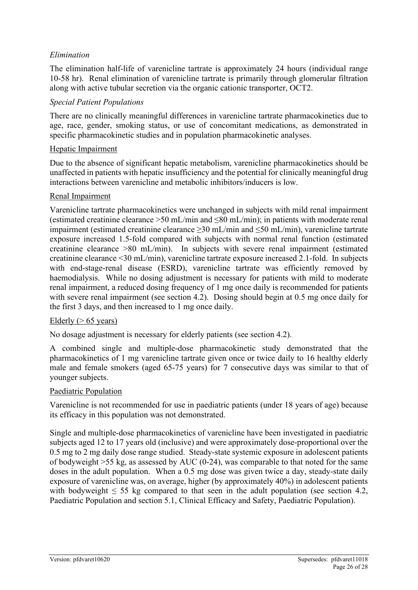#### *Elimination*

The elimination half-life of varenicline tartrate is approximately 24 hours (individual range 10-58 hr). Renal elimination of varenicline tartrate is primarily through glomerular filtration along with active tubular secretion via the organic cationic transporter, OCT2.

#### *Special Patient Populations*

There are no clinically meaningful differences in varenicline tartrate pharmacokinetics due to age, race, gender, smoking status, or use of concomitant medications, as demonstrated in specific pharmacokinetic studies and in population pharmacokinetic analyses.

#### Hepatic Impairment

Due to the absence of significant hepatic metabolism, varenicline pharmacokinetics should be unaffected in patients with hepatic insufficiency and the potential for clinically meaningful drug interactions between varenicline and metabolic inhibitors/inducers is low.

#### Renal Impairment

Varenicline tartrate pharmacokinetics were unchanged in subjects with mild renal impairment (estimated creatinine clearance >50 mL/min and ≤80 mL/min); in patients with moderate renal impairment (estimated creatinine clearance ≥30 mL/min and ≤50 mL/min), varenicline tartrate exposure increased 1.5-fold compared with subjects with normal renal function (estimated creatinine clearance >80 mL/min). In subjects with severe renal impairment (estimated creatinine clearance <30 mL/min), varenicline tartrate exposure increased 2.1-fold. In subjects with end-stage-renal disease (ESRD), varenicline tartrate was efficiently removed by haemodialysis. While no dosing adjustment is necessary for patients with mild to moderate renal impairment, a reduced dosing frequency of 1 mg once daily is recommended for patients with severe renal impairment (see section 4.2). Dosing should begin at 0.5 mg once daily for the first 3 days, and then increased to 1 mg once daily.

#### Elderly ( $> 65$  years)

No dosage adjustment is necessary for elderly patients (see section 4.2).

A combined single and multiple-dose pharmacokinetic study demonstrated that the pharmacokinetics of 1 mg varenicline tartrate given once or twice daily to 16 healthy elderly male and female smokers (aged 65-75 years) for 7 consecutive days was similar to that of younger subjects.

#### Paediatric Population

Varenicline is not recommended for use in paediatric patients (under 18 years of age) because its efficacy in this population was not demonstrated.

Single and multiple-dose pharmacokinetics of varenicline have been investigated in paediatric subjects aged 12 to 17 years old (inclusive) and were approximately dose-proportional over the 0.5 mg to 2 mg daily dose range studied. Steady-state systemic exposure in adolescent patients of bodyweight >55 kg, as assessed by AUC (0-24), was comparable to that noted for the same doses in the adult population. When a 0.5 mg dose was given twice a day, steady-state daily exposure of varenicline was, on average, higher (by approximately 40%) in adolescent patients with bodyweight  $\leq$  55 kg compared to that seen in the adult population (see section 4.2, Paediatric Population and section 5.1, Clinical Efficacy and Safety, Paediatric Population).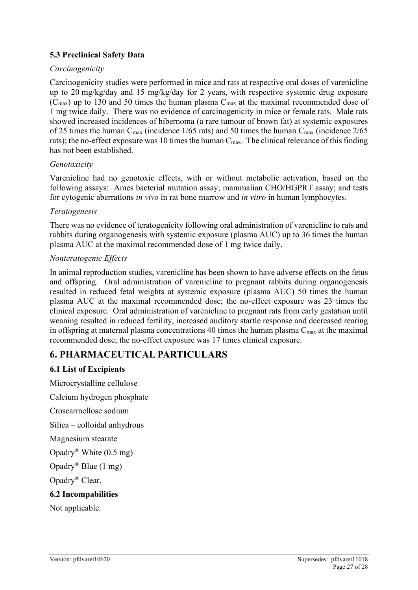#### **5.3 Preclinical Safety Data**

#### *Carcinogenicity*

Carcinogenicity studies were performed in mice and rats at respective oral doses of varenicline up to 20 mg/kg/day and 15 mg/kg/day for 2 years, with respective systemic drug exposure  $(C_{\text{max}})$  up to 130 and 50 times the human plasma  $C_{\text{max}}$  at the maximal recommended dose of 1 mg twice daily. There was no evidence of carcinogenicity in mice or female rats. Male rats showed increased incidences of hibernoma (a rare tumour of brown fat) at systemic exposures of 25 times the human  $C_{\text{max}}$  (incidence 1/65 rats) and 50 times the human  $C_{\text{max}}$  (incidence 2/65 rats); the no-effect exposure was 10 times the human  $C_{\text{max}}$ . The clinical relevance of this finding has not been established.

#### *Genotoxicity*

Varenicline had no genotoxic effects, with or without metabolic activation, based on the following assays: Ames bacterial mutation assay; mammalian CHO/HGPRT assay; and tests for cytogenic aberrations *in vivo* in rat bone marrow and *in vitro* in human lymphocytes.

#### *Teratogenesis*

There was no evidence of teratogenicity following oral administration of varenicline to rats and rabbits during organogenesis with systemic exposure (plasma AUC) up to 36 times the human plasma AUC at the maximal recommended dose of 1 mg twice daily.

#### *Nonteratogenic Effects*

In animal reproduction studies, varenicline has been shown to have adverse effects on the fetus and offspring. Oral administration of varenicline to pregnant rabbits during organogenesis resulted in reduced fetal weights at systemic exposure (plasma AUC) 50 times the human plasma AUC at the maximal recommended dose; the no-effect exposure was 23 times the clinical exposure. Oral administration of varenicline to pregnant rats from early gestation until weaning resulted in reduced fertility, increased auditory startle response and decreased rearing in offspring at maternal plasma concentrations 40 times the human plasma  $C_{\text{max}}$  at the maximal recommended dose; the no-effect exposure was 17 times clinical exposure.

# **6. PHARMACEUTICAL PARTICULARS**

#### **6.1 List of Excipients**

Microcrystalline cellulose Calcium hydrogen phosphate Croscarmellose sodium Silica – colloidal anhydrous Magnesium stearate Opadry® White (0.5 mg) Opadry® Blue (1 mg) Opadry® Clear.

#### **6.2 Incompabilities**

Not applicable.